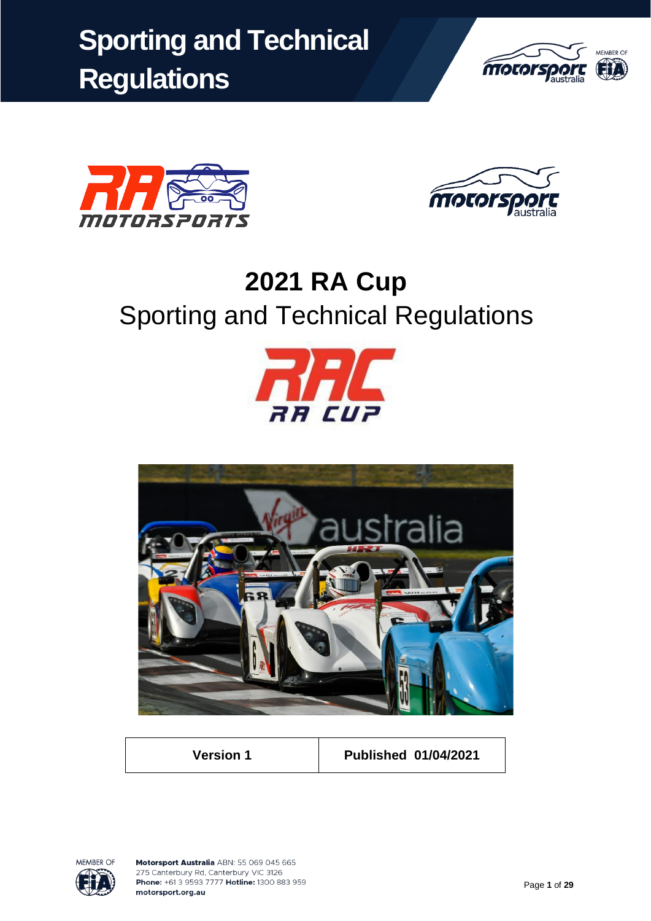





# **2021 RA Cup** Sporting and Technical Regulations





**Version 1 Published 01/04/2021**

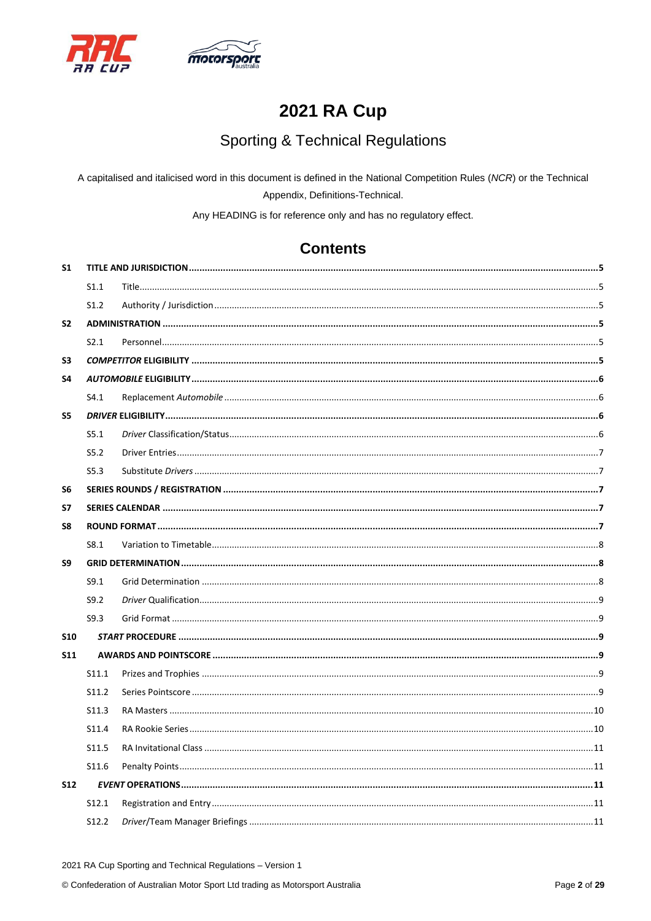



# **2021 RA Cup**

# **Sporting & Technical Regulations**

A capitalised and italicised word in this document is defined in the National Competition Rules (NCR) or the Technical Appendix, Definitions-Technical.

Any HEADING is for reference only and has no regulatory effect.

# **Contents**

| <b>S1</b>      |                   |  |  |  |
|----------------|-------------------|--|--|--|
|                | S1.1              |  |  |  |
|                | S1.2              |  |  |  |
| S <sub>2</sub> |                   |  |  |  |
|                | S2.1              |  |  |  |
| S <sub>3</sub> |                   |  |  |  |
| S4             |                   |  |  |  |
|                | S4.1              |  |  |  |
| S5             |                   |  |  |  |
|                | S5.1              |  |  |  |
|                | S5.2              |  |  |  |
|                | S5.3              |  |  |  |
| S <sub>6</sub> |                   |  |  |  |
| S7             |                   |  |  |  |
| S8             |                   |  |  |  |
|                | S8.1              |  |  |  |
| S9             |                   |  |  |  |
|                | S9.1              |  |  |  |
|                | S9.2              |  |  |  |
|                | S9.3              |  |  |  |
| <b>S10</b>     |                   |  |  |  |
| S11            |                   |  |  |  |
|                | S11.1             |  |  |  |
|                | S11.2             |  |  |  |
|                | S11.3             |  |  |  |
|                | S <sub>11.4</sub> |  |  |  |
|                | S11.5             |  |  |  |
|                | S11.6             |  |  |  |
| <b>S12</b>     |                   |  |  |  |
|                | S12.1             |  |  |  |
|                | S <sub>12.2</sub> |  |  |  |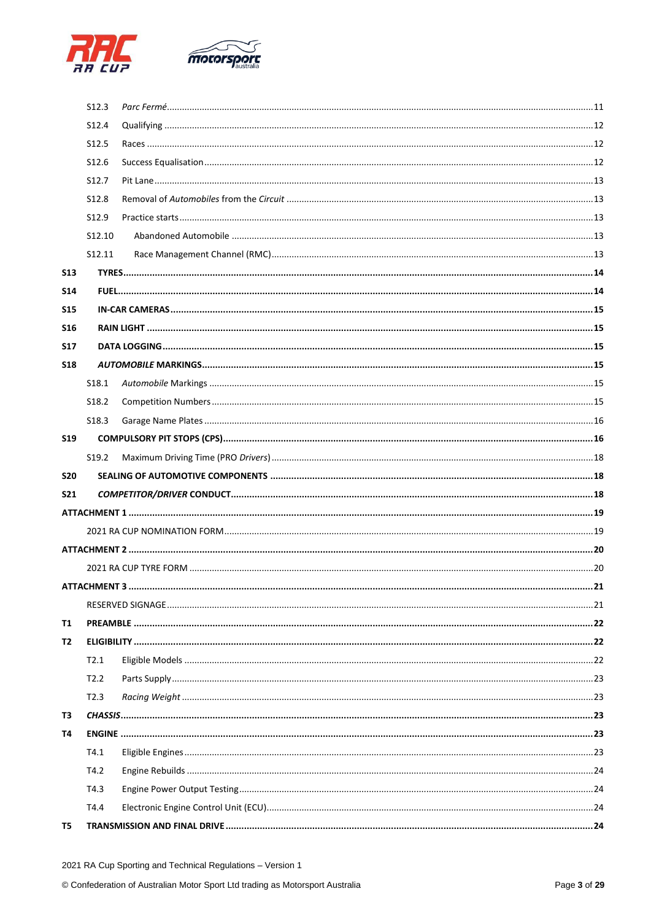

|            | S12.3             |  |
|------------|-------------------|--|
|            | S <sub>12.4</sub> |  |
|            | S12.5             |  |
|            | S <sub>12.6</sub> |  |
|            | S12.7             |  |
|            | S12.8             |  |
|            | S12.9             |  |
|            | S12.10            |  |
|            | S12.11            |  |
| <b>S13</b> |                   |  |
| <b>S14</b> |                   |  |
| <b>S15</b> |                   |  |
| <b>S16</b> |                   |  |
| <b>S17</b> |                   |  |
| <b>S18</b> |                   |  |
|            | S <sub>18.1</sub> |  |
|            | S <sub>18.2</sub> |  |
|            | S18.3             |  |
| <b>S19</b> |                   |  |
|            | S <sub>19.2</sub> |  |
| <b>S20</b> |                   |  |
| <b>S21</b> |                   |  |
|            |                   |  |
|            |                   |  |
|            |                   |  |
|            |                   |  |
|            |                   |  |
|            |                   |  |
| T1         |                   |  |
| T2         |                   |  |
|            | T2.1              |  |
|            | T2.2              |  |
|            | T2.3              |  |
| T3         |                   |  |
| Т4         |                   |  |
|            | T4.1              |  |
|            | T4.2              |  |
|            | T4.3              |  |
|            | T4.4              |  |
|            |                   |  |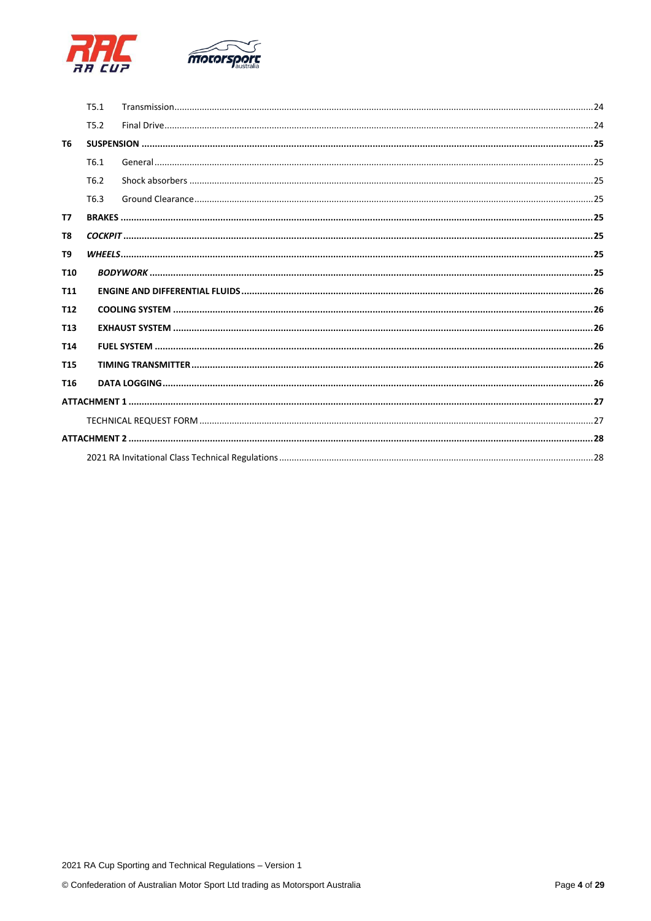

|                 | T5.1             |  |  |
|-----------------|------------------|--|--|
|                 | T <sub>5.2</sub> |  |  |
| T <sub>6</sub>  |                  |  |  |
|                 | T6.1             |  |  |
|                 | T <sub>6.2</sub> |  |  |
|                 | T <sub>6.3</sub> |  |  |
| T7              |                  |  |  |
| T <sub>8</sub>  |                  |  |  |
| T <sub>9</sub>  |                  |  |  |
| T <sub>10</sub> |                  |  |  |
| T11             |                  |  |  |
| T <sub>12</sub> |                  |  |  |
| T <sub>13</sub> |                  |  |  |
| T <sub>14</sub> |                  |  |  |
| T <sub>15</sub> |                  |  |  |
| T <sub>16</sub> |                  |  |  |
|                 |                  |  |  |
|                 |                  |  |  |
|                 |                  |  |  |
|                 |                  |  |  |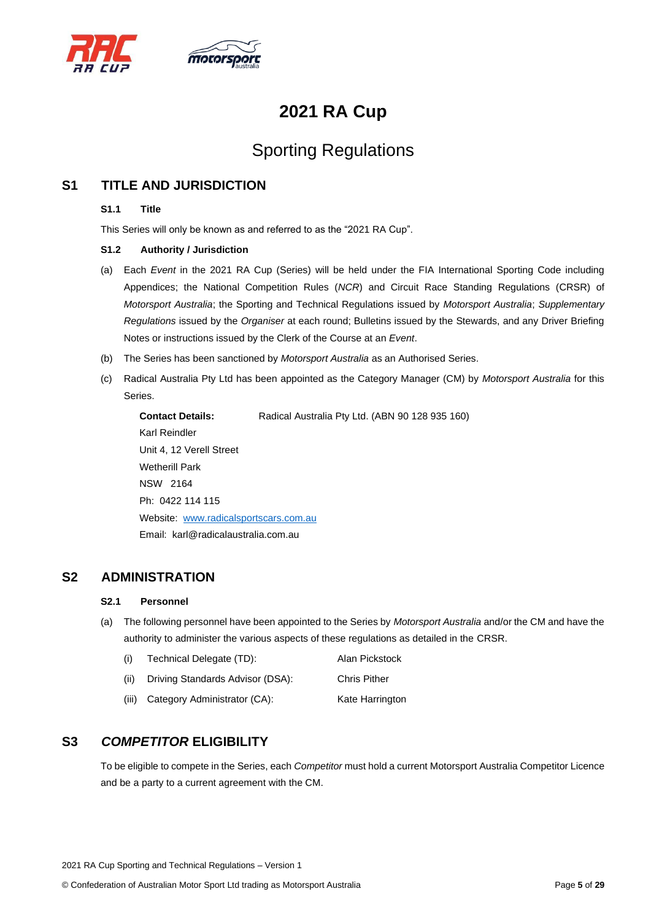



# **2021 RA Cup**

# Sporting Regulations

# <span id="page-4-1"></span><span id="page-4-0"></span>**S1 TITLE AND JURISDICTION**

### **S1.1 Title**

This Series will only be known as and referred to as the "2021 RA Cup".

### <span id="page-4-2"></span>**S1.2 Authority / Jurisdiction**

- (a) Each *Event* in the 2021 RA Cup (Series) will be held under the FIA International Sporting Code including Appendices; the National Competition Rules (*NCR*) and Circuit Race Standing Regulations (CRSR) of *Motorsport Australia*; the Sporting and Technical Regulations issued by *Motorsport Australia*; *Supplementary Regulations* issued by the *Organiser* at each round; Bulletins issued by the Stewards, and any Driver Briefing Notes or instructions issued by the Clerk of the Course at an *Event*.
- (b) The Series has been sanctioned by *Motorsport Australia* as an Authorised Series.
- (c) Radical Australia Pty Ltd has been appointed as the Category Manager (CM) by *Motorsport Australia* for this Series.

**Contact Details:** Radical Australia Pty Ltd. (ABN 90 128 935 160) Karl Reindler Unit 4, 12 Verell Street Wetherill Park NSW 2164 Ph: 0422 114 115 Website: [www.radicalsportscars.com.au](http://www.radicalsportscars.com.au/) Email: karl@radicalaustralia.com.au

# <span id="page-4-4"></span><span id="page-4-3"></span>**S2 ADMINISTRATION**

### **S2.1 Personnel**

(a) The following personnel have been appointed to the Series by *Motorsport Australia* and/or the CM and have the authority to administer the various aspects of these regulations as detailed in the CRSR.

| (i)   | Technical Delegate (TD):         | Alan Pickstock      |
|-------|----------------------------------|---------------------|
| (ii)  | Driving Standards Advisor (DSA): | <b>Chris Pither</b> |
| (iii) | Category Administrator (CA):     | Kate Harrington     |

# <span id="page-4-5"></span>**S3** *COMPETITOR* **ELIGIBILITY**

To be eligible to compete in the Series, each *Competitor* must hold a current Motorsport Australia Competitor Licence and be a party to a current agreement with the CM.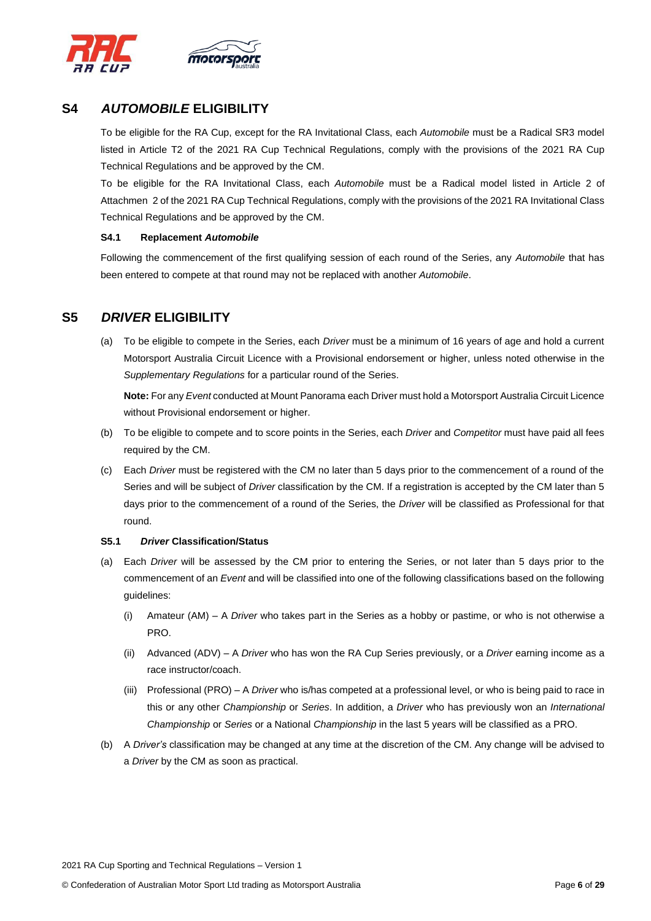

# <span id="page-5-0"></span>**S4** *AUTOMOBILE* **ELIGIBILITY**

To be eligible for the RA Cup, except for the RA Invitational Class, each *Automobile* must be a Radical SR3 model listed in Article T2 of the 2021 RA Cup Technical Regulations, comply with the provisions of the 2021 RA Cup Technical Regulations and be approved by the CM.

To be eligible for the RA Invitational Class, each *Automobile* must be a Radical model listed in Article 2 of Attachmen 2 of the 2021 RA Cup Technical Regulations, comply with the provisions of the 2021 RA Invitational Class Technical Regulations and be approved by the CM.

### <span id="page-5-1"></span>**S4.1 Replacement** *Automobile*

Following the commencement of the first qualifying session of each round of the Series, any *Automobile* that has been entered to compete at that round may not be replaced with another *Automobile*.

# <span id="page-5-2"></span>**S5** *DRIVER* **ELIGIBILITY**

(a) To be eligible to compete in the Series, each *Driver* must be a minimum of 16 years of age and hold a current Motorsport Australia Circuit Licence with a Provisional endorsement or higher, unless noted otherwise in the *Supplementary Regulations* for a particular round of the Series.

**Note:** For any *Event* conducted at Mount Panorama each Driver must hold a Motorsport Australia Circuit Licence without Provisional endorsement or higher.

- (b) To be eligible to compete and to score points in the Series, each *Driver* and *Competitor* must have paid all fees required by the CM.
- (c) Each *Driver* must be registered with the CM no later than 5 days prior to the commencement of a round of the Series and will be subject of *Driver* classification by the CM. If a registration is accepted by the CM later than 5 days prior to the commencement of a round of the Series, the *Driver* will be classified as Professional for that round.

### <span id="page-5-3"></span>**S5.1** *Driver* **Classification/Status**

- (a) Each *Driver* will be assessed by the CM prior to entering the Series, or not later than 5 days prior to the commencement of an *Event* and will be classified into one of the following classifications based on the following guidelines:
	- (i) Amateur (AM) A *Driver* who takes part in the Series as a hobby or pastime, or who is not otherwise a PRO.
	- (ii) Advanced (ADV) A *Driver* who has won the RA Cup Series previously, or a *Driver* earning income as a race instructor/coach.
	- (iii) Professional (PRO) A *Driver* who is/has competed at a professional level, or who is being paid to race in this or any other *Championship* or *Series*. In addition, a *Driver* who has previously won an *International Championship* or *Series* or a National *Championship* in the last 5 years will be classified as a PRO.
- (b) A *Driver's* classification may be changed at any time at the discretion of the CM. Any change will be advised to a *Driver* by the CM as soon as practical.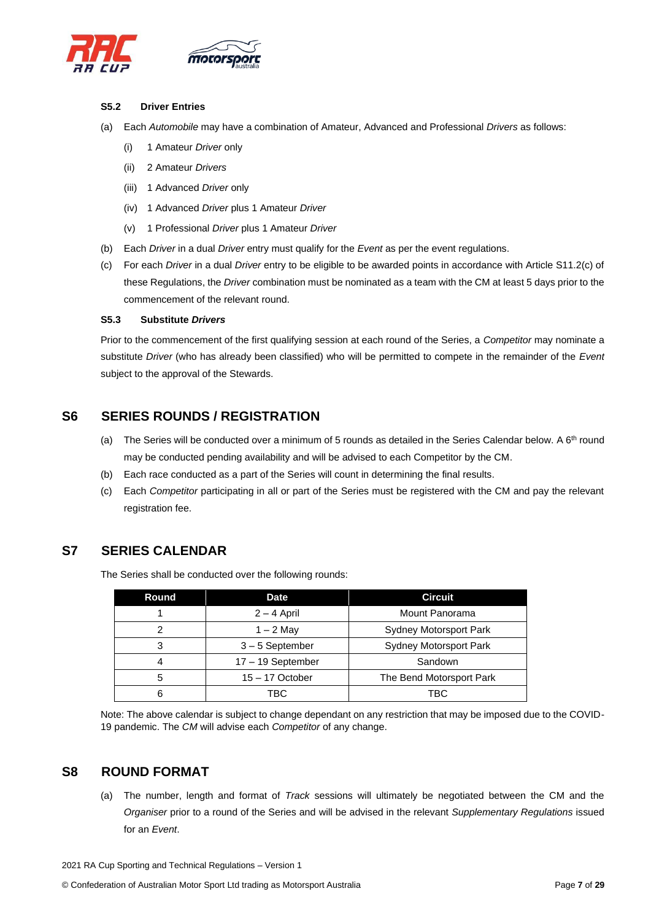

### <span id="page-6-0"></span>**S5.2 Driver Entries**

- (a) Each *Automobile* may have a combination of Amateur, Advanced and Professional *Drivers* as follows:
	- (i) 1 Amateur *Driver* only
	- (ii) 2 Amateur *Drivers*
	- (iii) 1 Advanced *Driver* only
	- (iv) 1 Advanced *Driver* plus 1 Amateur *Driver*
	- (v) 1 Professional *Driver* plus 1 Amateur *Driver*
- (b) Each *Driver* in a dual *Driver* entry must qualify for the *Event* as per the event regulations.
- (c) For each *Driver* in a dual *Driver* entry to be eligible to be awarded points in accordance with Article S11.2(c) of these Regulations, the *Driver* combination must be nominated as a team with the CM at least 5 days prior to the commencement of the relevant round.

### <span id="page-6-1"></span>**S5.3 Substitute** *Drivers*

Prior to the commencement of the first qualifying session at each round of the Series, a *Competitor* may nominate a substitute *Driver* (who has already been classified) who will be permitted to compete in the remainder of the *Event* subject to the approval of the Stewards.

# <span id="page-6-2"></span>**S6 SERIES ROUNDS / REGISTRATION**

- (a) The Series will be conducted over a minimum of 5 rounds as detailed in the Series Calendar below. A 6<sup>th</sup> round may be conducted pending availability and will be advised to each Competitor by the CM.
- (b) Each race conducted as a part of the Series will count in determining the final results.
- (c) Each *Competitor* participating in all or part of the Series must be registered with the CM and pay the relevant registration fee.

# <span id="page-6-3"></span>**S7 SERIES CALENDAR**

The Series shall be conducted over the following rounds:

| Round<br><b>Date</b>   |     | <b>Circuit</b>                |
|------------------------|-----|-------------------------------|
| $2 - 4$ April          |     | Mount Panorama                |
| $1 - 2$ May            |     | <b>Sydney Motorsport Park</b> |
| $3 - 5$ September<br>3 |     | <b>Sydney Motorsport Park</b> |
| 17 - 19 September<br>4 |     | Sandown                       |
| $15 - 17$ October<br>5 |     | The Bend Motorsport Park      |
|                        | TBC | TBC                           |

Note: The above calendar is subject to change dependant on any restriction that may be imposed due to the COVID-19 pandemic. The *CM* will advise each *Competitor* of any change.

# <span id="page-6-4"></span>**S8 ROUND FORMAT**

(a) The number, length and format of *Track* sessions will ultimately be negotiated between the CM and the *Organiser* prior to a round of the Series and will be advised in the relevant *Supplementary Regulations* issued for an *Event*.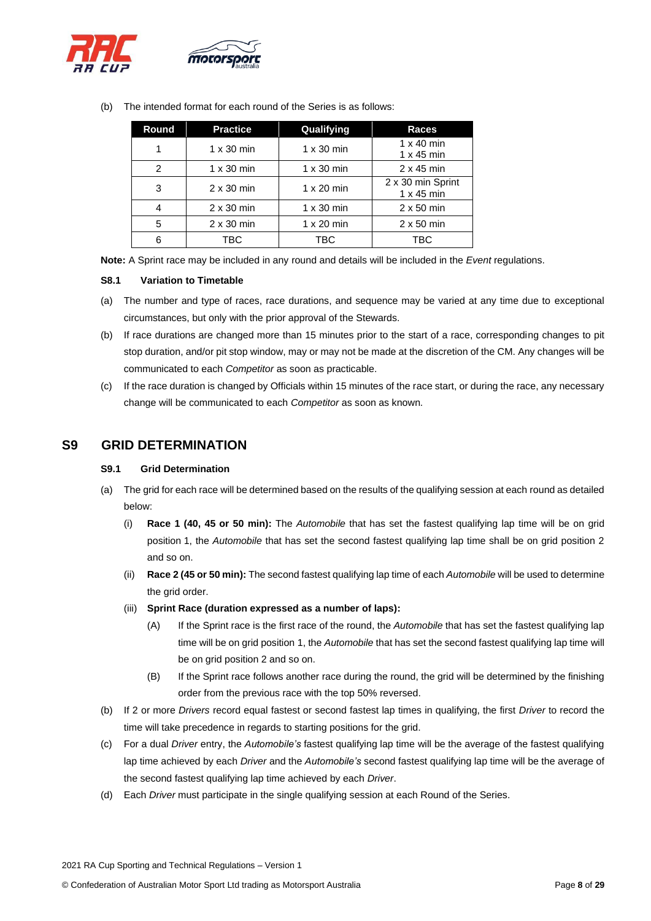

(b) The intended format for each round of the Series is as follows:

| Round | <b>Practice</b>   | Qualifying        | <b>Races</b>                           |
|-------|-------------------|-------------------|----------------------------------------|
|       | $1 \times 30$ min | $1 \times 30$ min | $1 \times 40$ min<br>$1 \times 45$ min |
| 2     | $1 \times 30$ min | $1 \times 30$ min | $2 \times 45$ min                      |
| 3     | $2 \times 30$ min | $1 \times 20$ min | 2 x 30 min Sprint<br>1 x 45 min        |
| 4     | $2 \times 30$ min | $1 \times 30$ min | $2 \times 50$ min                      |
| 5     | $2 \times 30$ min | $1 \times 20$ min | $2 \times 50$ min                      |
| 6     | TBC               | TBC               | твс                                    |

**Note:** A Sprint race may be included in any round and details will be included in the *Event* regulations.

### <span id="page-7-0"></span>**S8.1 Variation to Timetable**

- (a) The number and type of races, race durations, and sequence may be varied at any time due to exceptional circumstances, but only with the prior approval of the Stewards.
- (b) If race durations are changed more than 15 minutes prior to the start of a race, corresponding changes to pit stop duration, and/or pit stop window, may or may not be made at the discretion of the CM. Any changes will be communicated to each *Competitor* as soon as practicable.
- (c) If the race duration is changed by Officials within 15 minutes of the race start, or during the race, any necessary change will be communicated to each *Competitor* as soon as known.

# <span id="page-7-2"></span><span id="page-7-1"></span>**S9 GRID DETERMINATION**

### **S9.1 Grid Determination**

- (a) The grid for each race will be determined based on the results of the qualifying session at each round as detailed below:
	- (i) **Race 1 (40, 45 or 50 min):** The *Automobile* that has set the fastest qualifying lap time will be on grid position 1, the *Automobile* that has set the second fastest qualifying lap time shall be on grid position 2 and so on.
	- (ii) **Race 2 (45 or 50 min):** The second fastest qualifying lap time of each *Automobile* will be used to determine the grid order.
	- (iii) **Sprint Race (duration expressed as a number of laps):**
		- (A) If the Sprint race is the first race of the round, the *Automobile* that has set the fastest qualifying lap time will be on grid position 1, the *Automobile* that has set the second fastest qualifying lap time will be on grid position 2 and so on.
		- (B) If the Sprint race follows another race during the round, the grid will be determined by the finishing order from the previous race with the top 50% reversed.
- (b) If 2 or more *Drivers* record equal fastest or second fastest lap times in qualifying, the first *Driver* to record the time will take precedence in regards to starting positions for the grid.
- (c) For a dual *Driver* entry, the *Automobile's* fastest qualifying lap time will be the average of the fastest qualifying lap time achieved by each *Driver* and the *Automobile's* second fastest qualifying lap time will be the average of the second fastest qualifying lap time achieved by each *Driver*.
- (d) Each *Driver* must participate in the single qualifying session at each Round of the Series.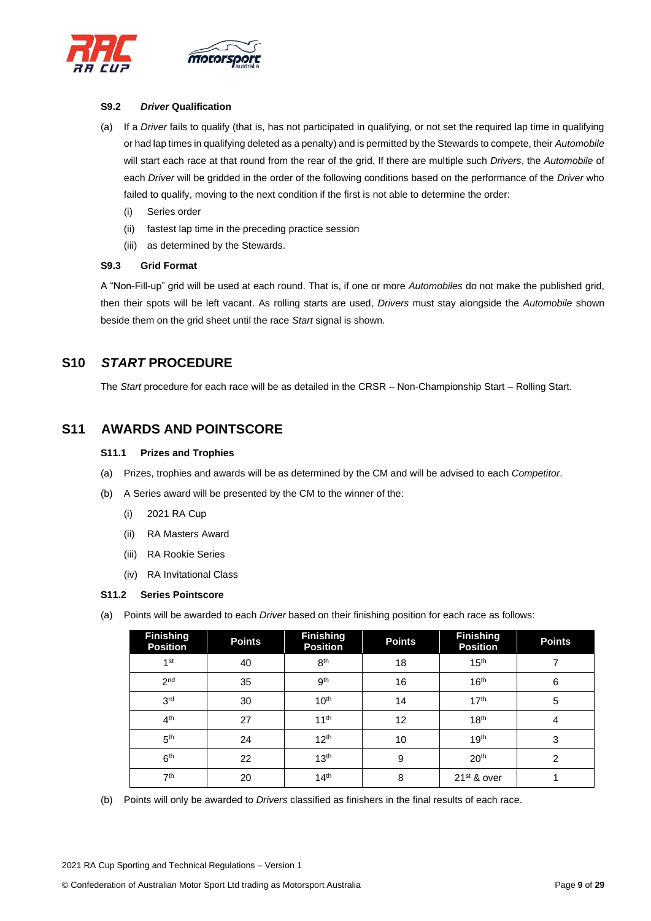

### <span id="page-8-0"></span>**S9.2** *Driver* **Qualification**

- (a) If a *Driver* fails to qualify (that is, has not participated in qualifying, or not set the required lap time in qualifying or had lap times in qualifying deleted as a penalty) and is permitted by the Stewards to compete, their *Automobile* will start each race at that round from the rear of the grid. If there are multiple such *Drivers*, the *Automobile* of each *Driver* will be gridded in the order of the following conditions based on the performance of the *Driver* who failed to qualify, moving to the next condition if the first is not able to determine the order:
	- (i) Series order
	- (ii) fastest lap time in the preceding practice session
	- (iii) as determined by the Stewards.

### <span id="page-8-1"></span>**S9.3 Grid Format**

A "Non-Fill-up" grid will be used at each round. That is, if one or more *Automobiles* do not make the published grid, then their spots will be left vacant. As rolling starts are used, *Drivers* must stay alongside the *Automobile* shown beside them on the grid sheet until the race *Start* signal is shown.

# <span id="page-8-2"></span>**S10** *START* **PROCEDURE**

The *Start* procedure for each race will be as detailed in the CRSR – Non-Championship Start – Rolling Start.

# <span id="page-8-4"></span><span id="page-8-3"></span>**S11 AWARDS AND POINTSCORE**

### **S11.1 Prizes and Trophies**

- (a) Prizes, trophies and awards will be as determined by the CM and will be advised to each *Competitor*.
- (b) A Series award will be presented by the CM to the winner of the:
	- (i) 2021 RA Cup
	- (ii) RA Masters Award
	- (iii) RA Rookie Series
	- (iv) RA Invitational Class

### <span id="page-8-5"></span>**S11.2 Series Pointscore**

(a) Points will be awarded to each *Driver* based on their finishing position for each race as follows:

| <b>Finishing</b><br><b>Position</b> | <b>Points</b> | <b>Finishing</b><br><b>Position</b> | <b>Points</b> | <b>Finishing</b><br><b>Position</b> | <b>Points</b>  |
|-------------------------------------|---------------|-------------------------------------|---------------|-------------------------------------|----------------|
| 1 <sup>st</sup>                     | 40            | 8 <sup>th</sup>                     | 18            | 15 <sup>th</sup>                    |                |
| 2 <sub>nd</sub>                     | 35            | 9 <sup>th</sup>                     | 16            | 16 <sup>th</sup>                    | 6              |
| 3 <sup>rd</sup>                     | 30            | 10 <sup>th</sup>                    | 14            | 17 <sup>th</sup>                    | 5              |
| 4 <sup>th</sup>                     | 27            | 11 <sup>th</sup>                    | 12            | 18 <sup>th</sup>                    | 4              |
| 5 <sup>th</sup>                     | 24            | 12 <sup>th</sup>                    | 10            | 19 <sup>th</sup>                    | 3              |
| 6 <sup>th</sup>                     | 22            | 13 <sup>th</sup>                    | 9             | 20 <sup>th</sup>                    | $\mathfrak{p}$ |
| 7 <sup>th</sup>                     | 20            | 14 <sup>th</sup>                    | 8             | 21 <sup>st</sup> & over             |                |

(b) Points will only be awarded to *Drivers* classified as finishers in the final results of each race.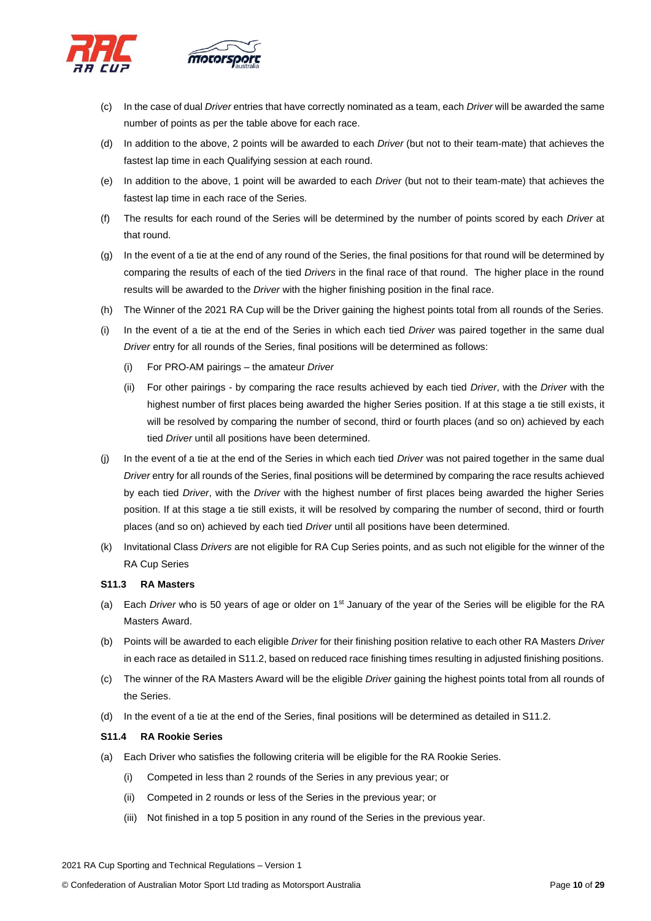

- (c) In the case of dual *Driver* entries that have correctly nominated as a team, each *Driver* will be awarded the same number of points as per the table above for each race.
- (d) In addition to the above, 2 points will be awarded to each *Driver* (but not to their team-mate) that achieves the fastest lap time in each Qualifying session at each round.
- (e) In addition to the above, 1 point will be awarded to each *Driver* (but not to their team-mate) that achieves the fastest lap time in each race of the Series.
- (f) The results for each round of the Series will be determined by the number of points scored by each *Driver* at that round.
- (g) In the event of a tie at the end of any round of the Series, the final positions for that round will be determined by comparing the results of each of the tied *Drivers* in the final race of that round. The higher place in the round results will be awarded to the *Driver* with the higher finishing position in the final race.
- (h) The Winner of the 2021 RA Cup will be the Driver gaining the highest points total from all rounds of the Series.
- (i) In the event of a tie at the end of the Series in which each tied *Driver* was paired together in the same dual *Driver* entry for all rounds of the Series, final positions will be determined as follows:
	- (i) For PRO-AM pairings the amateur *Driver*
	- (ii) For other pairings by comparing the race results achieved by each tied *Driver*, with the *Driver* with the highest number of first places being awarded the higher Series position. If at this stage a tie still exists, it will be resolved by comparing the number of second, third or fourth places (and so on) achieved by each tied *Driver* until all positions have been determined.
- (j) In the event of a tie at the end of the Series in which each tied *Driver* was not paired together in the same dual *Driver* entry for all rounds of the Series, final positions will be determined by comparing the race results achieved by each tied *Driver*, with the *Driver* with the highest number of first places being awarded the higher Series position. If at this stage a tie still exists, it will be resolved by comparing the number of second, third or fourth places (and so on) achieved by each tied *Driver* until all positions have been determined.
- (k) Invitational Class *Drivers* are not eligible for RA Cup Series points, and as such not eligible for the winner of the RA Cup Series

### <span id="page-9-0"></span>**S11.3 RA Masters**

- (a) Each *Driver* who is 50 years of age or older on 1st January of the year of the Series will be eligible for the RA Masters Award.
- (b) Points will be awarded to each eligible *Driver* for their finishing position relative to each other RA Masters *Driver* in each race as detailed in S11.2, based on reduced race finishing times resulting in adjusted finishing positions.
- (c) The winner of the RA Masters Award will be the eligible *Driver* gaining the highest points total from all rounds of the Series.
- (d) In the event of a tie at the end of the Series, final positions will be determined as detailed in S11.2.

### <span id="page-9-1"></span>**S11.4 RA Rookie Series**

- (a) Each Driver who satisfies the following criteria will be eligible for the RA Rookie Series.
	- (i) Competed in less than 2 rounds of the Series in any previous year; or
	- (ii) Competed in 2 rounds or less of the Series in the previous year; or
	- (iii) Not finished in a top 5 position in any round of the Series in the previous year.

2021 RA Cup Sporting and Technical Regulations – Version 1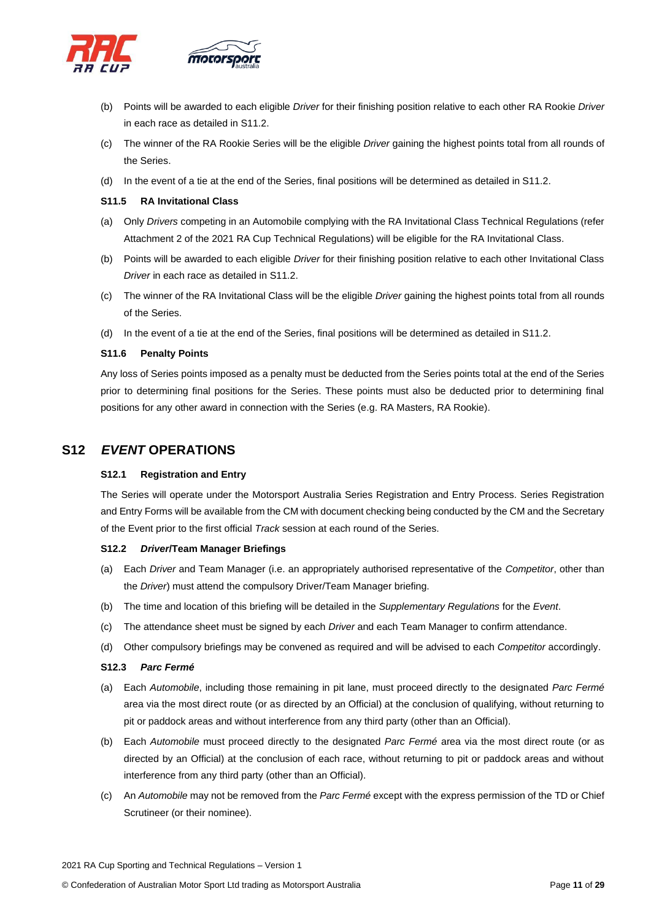

- (b) Points will be awarded to each eligible *Driver* for their finishing position relative to each other RA Rookie *Driver* in each race as detailed in S11.2.
- (c) The winner of the RA Rookie Series will be the eligible *Driver* gaining the highest points total from all rounds of the Series.
- (d) In the event of a tie at the end of the Series, final positions will be determined as detailed in S11.2.

### <span id="page-10-0"></span>**S11.5 RA Invitational Class**

- (a) Only *Drivers* competing in an Automobile complying with the RA Invitational Class Technical Regulations (refer Attachment 2 of the 2021 RA Cup Technical Regulations) will be eligible for the RA Invitational Class.
- (b) Points will be awarded to each eligible *Driver* for their finishing position relative to each other Invitational Class *Driver* in each race as detailed in S11.2.
- (c) The winner of the RA Invitational Class will be the eligible *Driver* gaining the highest points total from all rounds of the Series.
- (d) In the event of a tie at the end of the Series, final positions will be determined as detailed in S11.2.

### <span id="page-10-1"></span>**S11.6 Penalty Points**

Any loss of Series points imposed as a penalty must be deducted from the Series points total at the end of the Series prior to determining final positions for the Series. These points must also be deducted prior to determining final positions for any other award in connection with the Series (e.g. RA Masters, RA Rookie).

# <span id="page-10-3"></span><span id="page-10-2"></span>**S12** *EVENT* **OPERATIONS**

### **S12.1 Registration and Entry**

The Series will operate under the Motorsport Australia Series Registration and Entry Process. Series Registration and Entry Forms will be available from the CM with document checking being conducted by the CM and the Secretary of the Event prior to the first official *Track* session at each round of the Series.

### <span id="page-10-4"></span>**S12.2** *Driver***/Team Manager Briefings**

- (a) Each *Driver* and Team Manager (i.e. an appropriately authorised representative of the *Competitor*, other than the *Driver*) must attend the compulsory Driver/Team Manager briefing.
- (b) The time and location of this briefing will be detailed in the *Supplementary Regulations* for the *Event*.
- (c) The attendance sheet must be signed by each *Driver* and each Team Manager to confirm attendance.
- (d) Other compulsory briefings may be convened as required and will be advised to each *Competitor* accordingly.

### <span id="page-10-5"></span>**S12.3** *Parc Fermé*

- (a) Each *Automobile*, including those remaining in pit lane, must proceed directly to the designated *Parc Fermé* area via the most direct route (or as directed by an Official) at the conclusion of qualifying, without returning to pit or paddock areas and without interference from any third party (other than an Official).
- (b) Each *Automobile* must proceed directly to the designated *Parc Fermé* area via the most direct route (or as directed by an Official) at the conclusion of each race, without returning to pit or paddock areas and without interference from any third party (other than an Official).
- (c) An *Automobile* may not be removed from the *Parc Fermé* except with the express permission of the TD or Chief Scrutineer (or their nominee).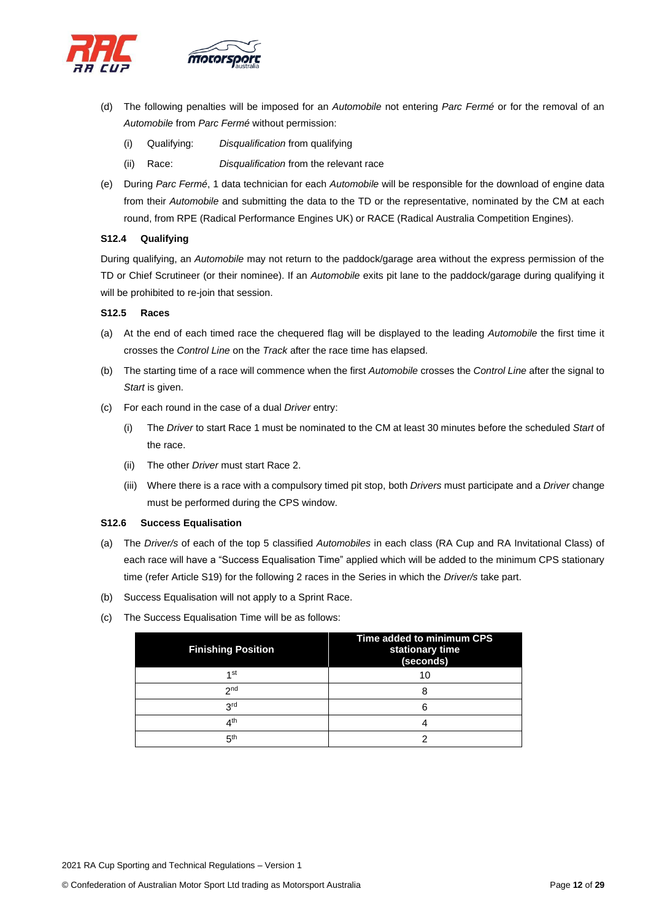

- (d) The following penalties will be imposed for an *Automobile* not entering *Parc Fermé* or for the removal of an *Automobile* from *Parc Fermé* without permission:
	- (i) Qualifying: *Disqualification* from qualifying
	- (ii) Race: *Disqualification* from the relevant race
- (e) During *Parc Fermé*, 1 data technician for each *Automobile* will be responsible for the download of engine data from their *Automobile* and submitting the data to the TD or the representative, nominated by the CM at each round, from RPE (Radical Performance Engines UK) or RACE (Radical Australia Competition Engines).

### <span id="page-11-0"></span>**S12.4 Qualifying**

During qualifying, an *Automobile* may not return to the paddock/garage area without the express permission of the TD or Chief Scrutineer (or their nominee). If an *Automobile* exits pit lane to the paddock/garage during qualifying it will be prohibited to re-join that session.

### <span id="page-11-1"></span>**S12.5 Races**

- (a) At the end of each timed race the chequered flag will be displayed to the leading *Automobile* the first time it crosses the *Control Line* on the *Track* after the race time has elapsed.
- (b) The starting time of a race will commence when the first *Automobile* crosses the *Control Line* after the signal to *Start* is given.
- (c) For each round in the case of a dual *Driver* entry:
	- (i) The *Driver* to start Race 1 must be nominated to the CM at least 30 minutes before the scheduled *Start* of the race.
	- (ii) The other *Driver* must start Race 2.
	- (iii) Where there is a race with a compulsory timed pit stop, both *Drivers* must participate and a *Driver* change must be performed during the CPS window.

### <span id="page-11-2"></span>**S12.6 Success Equalisation**

- (a) The *Driver/s* of each of the top 5 classified *Automobiles* in each class (RA Cup and RA Invitational Class) of each race will have a "Success Equalisation Time" applied which will be added to the minimum CPS stationary time (refer Article S19) for the following 2 races in the Series in which the *Driver/s* take part.
- (b) Success Equalisation will not apply to a Sprint Race.
- (c) The Success Equalisation Time will be as follows:

| <b>Finishing Position</b> | Time added to minimum CPS<br>stationary time<br>(seconds) |
|---------------------------|-----------------------------------------------------------|
| 1st                       | 10                                                        |
| 2 <sub>nd</sub>           |                                                           |
| 3rd                       |                                                           |
| 4 <sup>th</sup>           |                                                           |
| 5 <sup>th</sup>           |                                                           |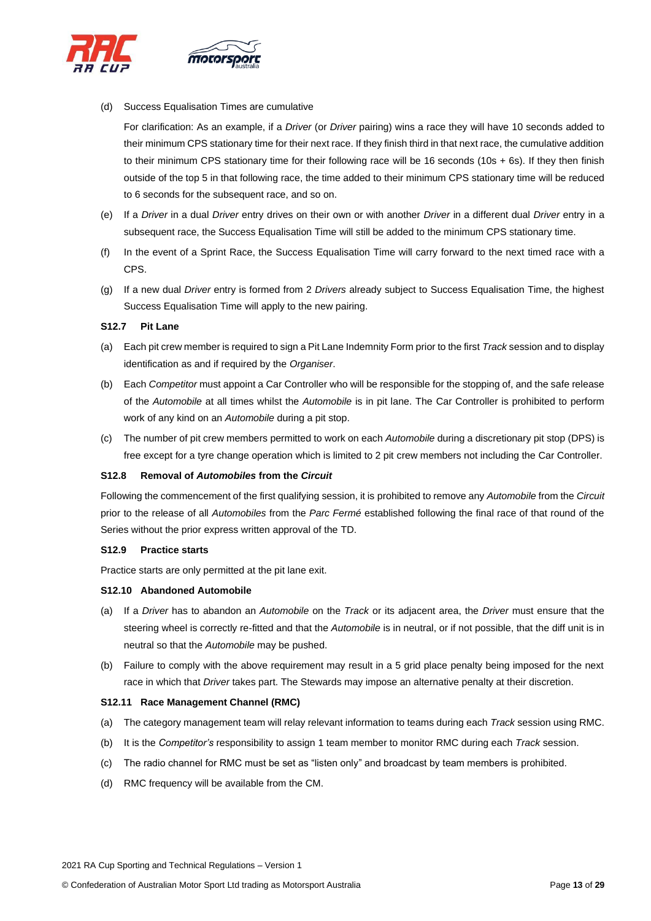

(d) Success Equalisation Times are cumulative

For clarification: As an example, if a *Driver* (or *Driver* pairing) wins a race they will have 10 seconds added to their minimum CPS stationary time for their next race. If they finish third in that next race, the cumulative addition to their minimum CPS stationary time for their following race will be 16 seconds (10s + 6s). If they then finish outside of the top 5 in that following race, the time added to their minimum CPS stationary time will be reduced to 6 seconds for the subsequent race, and so on.

- (e) If a *Driver* in a dual *Driver* entry drives on their own or with another *Driver* in a different dual *Driver* entry in a subsequent race, the Success Equalisation Time will still be added to the minimum CPS stationary time.
- (f) In the event of a Sprint Race, the Success Equalisation Time will carry forward to the next timed race with a CPS.
- (g) If a new dual *Driver* entry is formed from 2 *Drivers* already subject to Success Equalisation Time, the highest Success Equalisation Time will apply to the new pairing.

### <span id="page-12-0"></span>**S12.7 Pit Lane**

- (a) Each pit crew member is required to sign a Pit Lane Indemnity Form prior to the first *Track* session and to display identification as and if required by the *Organiser*.
- (b) Each *Competitor* must appoint a Car Controller who will be responsible for the stopping of, and the safe release of the *Automobile* at all times whilst the *Automobile* is in pit lane. The Car Controller is prohibited to perform work of any kind on an *Automobile* during a pit stop.
- (c) The number of pit crew members permitted to work on each *Automobile* during a discretionary pit stop (DPS) is free except for a tyre change operation which is limited to 2 pit crew members not including the Car Controller.

### <span id="page-12-1"></span>**S12.8 Removal of** *Automobiles* **from the** *Circuit*

Following the commencement of the first qualifying session, it is prohibited to remove any *Automobile* from the *Circuit* prior to the release of all *Automobiles* from the *Parc Fermé* established following the final race of that round of the Series without the prior express written approval of the TD.

#### <span id="page-12-2"></span>**S12.9 Practice starts**

Practice starts are only permitted at the pit lane exit.

### <span id="page-12-3"></span>**S12.10 Abandoned Automobile**

- (a) If a *Driver* has to abandon an *Automobile* on the *Track* or its adjacent area, the *Driver* must ensure that the steering wheel is correctly re-fitted and that the *Automobile* is in neutral, or if not possible, that the diff unit is in neutral so that the *Automobile* may be pushed.
- (b) Failure to comply with the above requirement may result in a 5 grid place penalty being imposed for the next race in which that *Driver* takes part. The Stewards may impose an alternative penalty at their discretion.

#### <span id="page-12-4"></span>**S12.11 Race Management Channel (RMC)**

- (a) The category management team will relay relevant information to teams during each *Track* session using RMC.
- (b) It is the *Competitor's* responsibility to assign 1 team member to monitor RMC during each *Track* session.
- (c) The radio channel for RMC must be set as "listen only" and broadcast by team members is prohibited.
- (d) RMC frequency will be available from the CM.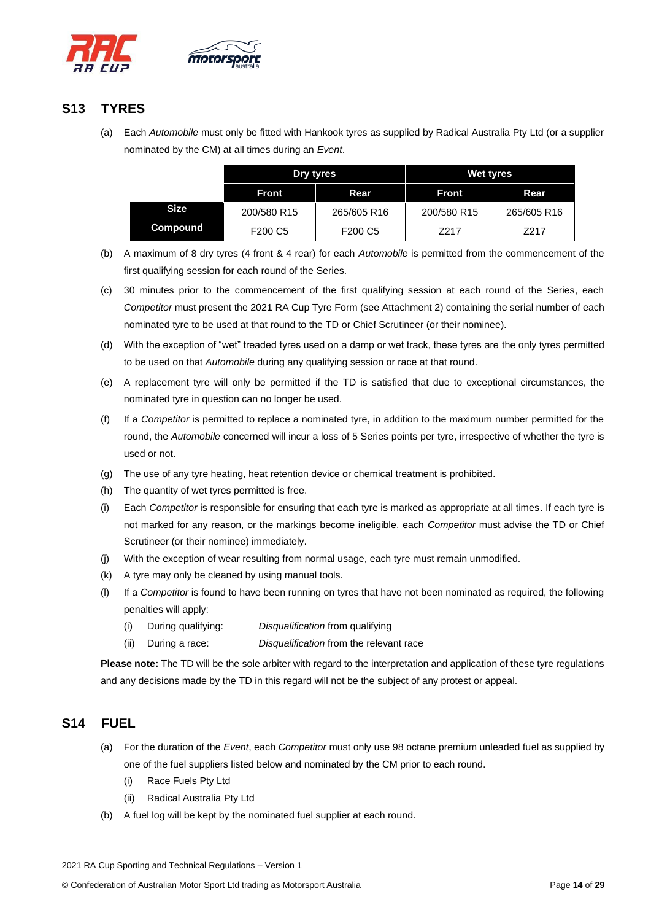

# <span id="page-13-0"></span>**S13 TYRES**

(a) Each *Automobile* must only be fitted with Hankook tyres as supplied by Radical Australia Pty Ltd (or a supplier nominated by the CM) at all times during an *Event*.

|             | Dry tyres                       |                                 | Wet tyres    |             |
|-------------|---------------------------------|---------------------------------|--------------|-------------|
|             | <b>Front</b>                    | Rear                            | <b>Front</b> | Rear        |
| <b>Size</b> | 200/580 R15                     | 265/605 R16                     | 200/580 R15  | 265/605 R16 |
| Compound    | F <sub>200</sub> C <sub>5</sub> | F <sub>200</sub> C <sub>5</sub> | 7217         | 7217        |

(b) A maximum of 8 dry tyres (4 front & 4 rear) for each *Automobile* is permitted from the commencement of the first qualifying session for each round of the Series.

- (c) 30 minutes prior to the commencement of the first qualifying session at each round of the Series, each *Competitor* must present the 2021 RA Cup Tyre Form (see Attachment 2) containing the serial number of each nominated tyre to be used at that round to the TD or Chief Scrutineer (or their nominee).
- (d) With the exception of "wet" treaded tyres used on a damp or wet track, these tyres are the only tyres permitted to be used on that *Automobile* during any qualifying session or race at that round.
- (e) A replacement tyre will only be permitted if the TD is satisfied that due to exceptional circumstances, the nominated tyre in question can no longer be used.
- (f) If a *Competitor* is permitted to replace a nominated tyre, in addition to the maximum number permitted for the round, the *Automobile* concerned will incur a loss of 5 Series points per tyre, irrespective of whether the tyre is used or not.
- (g) The use of any tyre heating, heat retention device or chemical treatment is prohibited.
- (h) The quantity of wet tyres permitted is free.
- (i) Each *Competitor* is responsible for ensuring that each tyre is marked as appropriate at all times. If each tyre is not marked for any reason, or the markings become ineligible, each *Competitor* must advise the TD or Chief Scrutineer (or their nominee) immediately.
- (j) With the exception of wear resulting from normal usage, each tyre must remain unmodified.
- (k) A tyre may only be cleaned by using manual tools.
- (l) If a *Competitor* is found to have been running on tyres that have not been nominated as required, the following penalties will apply:
	- (i) During qualifying: *Disqualification* from qualifying
	- (ii) During a race: *Disqualification* from the relevant race

**Please note:** The TD will be the sole arbiter with regard to the interpretation and application of these tyre regulations and any decisions made by the TD in this regard will not be the subject of any protest or appeal.

# <span id="page-13-1"></span>**S14 FUEL**

- (a) For the duration of the *Event*, each *Competitor* must only use 98 octane premium unleaded fuel as supplied by one of the fuel suppliers listed below and nominated by the CM prior to each round.
	- (i) Race Fuels Pty Ltd
	- (ii) Radical Australia Pty Ltd
- (b) A fuel log will be kept by the nominated fuel supplier at each round.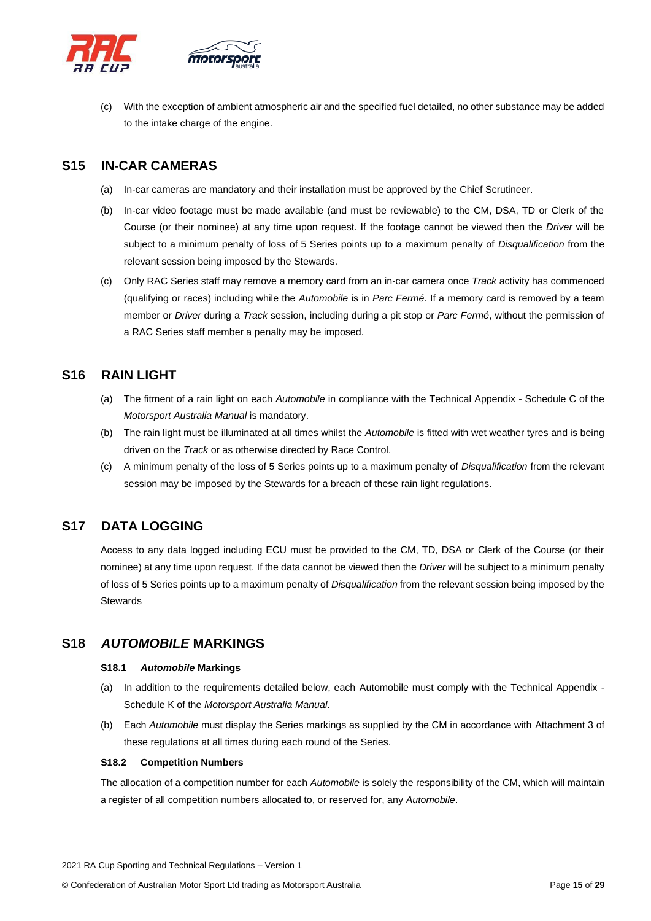

(c) With the exception of ambient atmospheric air and the specified fuel detailed, no other substance may be added to the intake charge of the engine.

# <span id="page-14-0"></span>**S15 IN-CAR CAMERAS**

- (a) In-car cameras are mandatory and their installation must be approved by the Chief Scrutineer.
- (b) In-car video footage must be made available (and must be reviewable) to the CM, DSA, TD or Clerk of the Course (or their nominee) at any time upon request. If the footage cannot be viewed then the *Driver* will be subject to a minimum penalty of loss of 5 Series points up to a maximum penalty of *Disqualification* from the relevant session being imposed by the Stewards.
- (c) Only RAC Series staff may remove a memory card from an in-car camera once *Track* activity has commenced (qualifying or races) including while the *Automobile* is in *Parc Fermé*. If a memory card is removed by a team member or *Driver* during a *Track* session, including during a pit stop or *Parc Fermé*, without the permission of a RAC Series staff member a penalty may be imposed.

# <span id="page-14-1"></span>**S16 RAIN LIGHT**

- (a) The fitment of a rain light on each *Automobile* in compliance with the Technical Appendix Schedule C of the *Motorsport Australia Manual* is mandatory.
- (b) The rain light must be illuminated at all times whilst the *Automobile* is fitted with wet weather tyres and is being driven on the *Track* or as otherwise directed by Race Control.
- (c) A minimum penalty of the loss of 5 Series points up to a maximum penalty of *Disqualification* from the relevant session may be imposed by the Stewards for a breach of these rain light regulations.

# <span id="page-14-2"></span>**S17 DATA LOGGING**

Access to any data logged including ECU must be provided to the CM, TD, DSA or Clerk of the Course (or their nominee) at any time upon request. If the data cannot be viewed then the *Driver* will be subject to a minimum penalty of loss of 5 Series points up to a maximum penalty of *Disqualification* from the relevant session being imposed by the **Stewards** 

# <span id="page-14-4"></span><span id="page-14-3"></span>**S18** *AUTOMOBILE* **MARKINGS**

### **S18.1** *Automobile* **Markings**

- (a) In addition to the requirements detailed below, each Automobile must comply with the Technical Appendix Schedule K of the *Motorsport Australia Manual*.
- (b) Each *Automobile* must display the Series markings as supplied by the CM in accordance with Attachment 3 of these regulations at all times during each round of the Series.

### <span id="page-14-5"></span>**S18.2 Competition Numbers**

The allocation of a competition number for each *Automobile* is solely the responsibility of the CM, which will maintain a register of all competition numbers allocated to, or reserved for, any *Automobile*.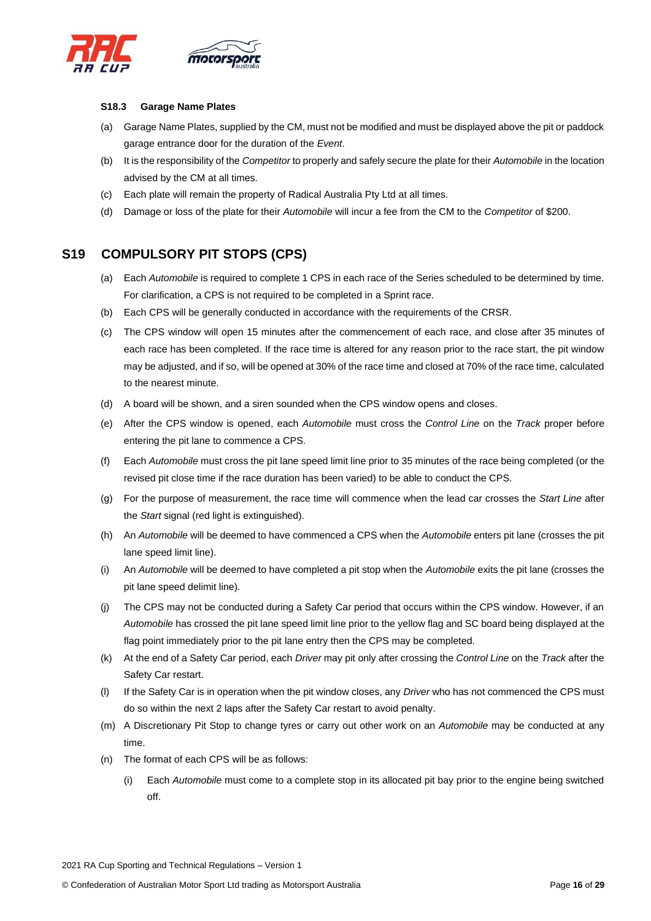

### <span id="page-15-0"></span>**S18.3 Garage Name Plates**

- (a) Garage Name Plates, supplied by the CM, must not be modified and must be displayed above the pit or paddock garage entrance door for the duration of the *Event*.
- (b) It is the responsibility of the *Competitor* to properly and safely secure the plate for their *Automobile* in the location advised by the CM at all times.
- (c) Each plate will remain the property of Radical Australia Pty Ltd at all times.
- (d) Damage or loss of the plate for their *Automobile* will incur a fee from the CM to the *Competitor* of \$200.

# <span id="page-15-1"></span>**S19 COMPULSORY PIT STOPS (CPS)**

- (a) Each *Automobile* is required to complete 1 CPS in each race of the Series scheduled to be determined by time. For clarification, a CPS is not required to be completed in a Sprint race.
- (b) Each CPS will be generally conducted in accordance with the requirements of the CRSR.
- (c) The CPS window will open 15 minutes after the commencement of each race, and close after 35 minutes of each race has been completed. If the race time is altered for any reason prior to the race start, the pit window may be adjusted, and if so, will be opened at 30% of the race time and closed at 70% of the race time, calculated to the nearest minute.
- (d) A board will be shown, and a siren sounded when the CPS window opens and closes.
- (e) After the CPS window is opened, each *Automobile* must cross the *Control Line* on the *Track* proper before entering the pit lane to commence a CPS.
- (f) Each *Automobile* must cross the pit lane speed limit line prior to 35 minutes of the race being completed (or the revised pit close time if the race duration has been varied) to be able to conduct the CPS.
- (g) For the purpose of measurement, the race time will commence when the lead car crosses the *Start Line* after the *Start* signal (red light is extinguished).
- (h) An *Automobile* will be deemed to have commenced a CPS when the *Automobile* enters pit lane (crosses the pit lane speed limit line).
- (i) An *Automobile* will be deemed to have completed a pit stop when the *Automobile* exits the pit lane (crosses the pit lane speed delimit line).
- (j) The CPS may not be conducted during a Safety Car period that occurs within the CPS window. However, if an *Automobile* has crossed the pit lane speed limit line prior to the yellow flag and SC board being displayed at the flag point immediately prior to the pit lane entry then the CPS may be completed.
- (k) At the end of a Safety Car period, each *Driver* may pit only after crossing the *Control Line* on the *Track* after the Safety Car restart.
- (l) If the Safety Car is in operation when the pit window closes, any *Driver* who has not commenced the CPS must do so within the next 2 laps after the Safety Car restart to avoid penalty.
- (m) A Discretionary Pit Stop to change tyres or carry out other work on an *Automobile* may be conducted at any time.
- (n) The format of each CPS will be as follows:
	- (i) Each *Automobile* must come to a complete stop in its allocated pit bay prior to the engine being switched off.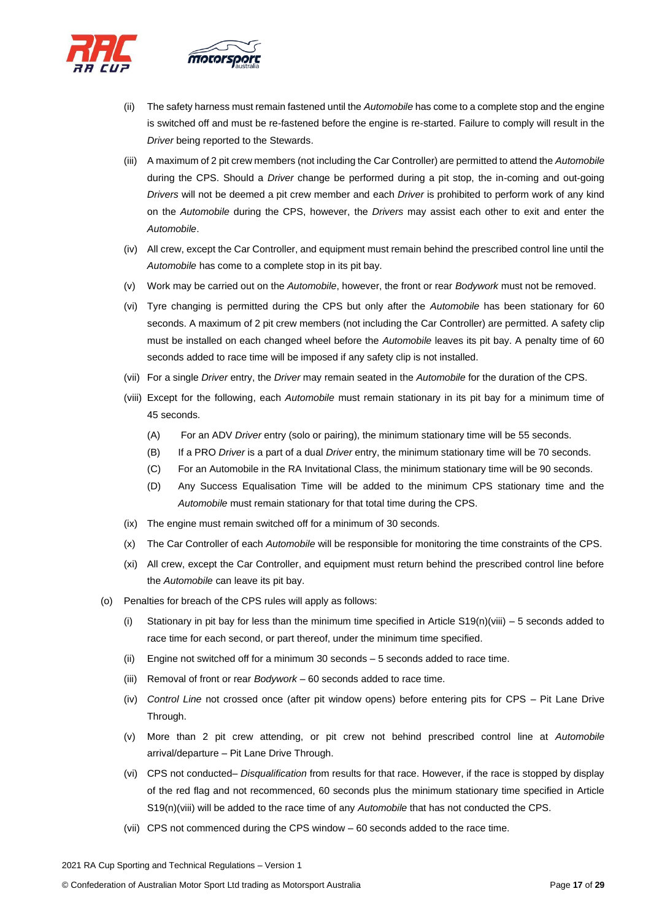

- (ii) The safety harness must remain fastened until the *Automobile* has come to a complete stop and the engine is switched off and must be re-fastened before the engine is re-started. Failure to comply will result in the *Driver* being reported to the Stewards.
- (iii) A maximum of 2 pit crew members (not including the Car Controller) are permitted to attend the *Automobile* during the CPS. Should a *Driver* change be performed during a pit stop, the in-coming and out-going *Drivers* will not be deemed a pit crew member and each *Driver* is prohibited to perform work of any kind on the *Automobile* during the CPS, however, the *Drivers* may assist each other to exit and enter the *Automobile*.
- (iv) All crew, except the Car Controller, and equipment must remain behind the prescribed control line until the *Automobile* has come to a complete stop in its pit bay.
- (v) Work may be carried out on the *Automobile*, however, the front or rear *Bodywork* must not be removed.
- (vi) Tyre changing is permitted during the CPS but only after the *Automobile* has been stationary for 60 seconds. A maximum of 2 pit crew members (not including the Car Controller) are permitted. A safety clip must be installed on each changed wheel before the *Automobile* leaves its pit bay. A penalty time of 60 seconds added to race time will be imposed if any safety clip is not installed.
- (vii) For a single *Driver* entry, the *Driver* may remain seated in the *Automobile* for the duration of the CPS.
- (viii) Except for the following, each *Automobile* must remain stationary in its pit bay for a minimum time of 45 seconds.
	- (A) For an ADV *Driver* entry (solo or pairing), the minimum stationary time will be 55 seconds.
	- (B) If a PRO *Driver* is a part of a dual *Driver* entry, the minimum stationary time will be 70 seconds.
	- (C) For an Automobile in the RA Invitational Class, the minimum stationary time will be 90 seconds.
	- (D) Any Success Equalisation Time will be added to the minimum CPS stationary time and the *Automobile* must remain stationary for that total time during the CPS.
- (ix) The engine must remain switched off for a minimum of 30 seconds.
- (x) The Car Controller of each *Automobile* will be responsible for monitoring the time constraints of the CPS.
- (xi) All crew, except the Car Controller, and equipment must return behind the prescribed control line before the *Automobile* can leave its pit bay.
- (o) Penalties for breach of the CPS rules will apply as follows:
	- (i) Stationary in pit bay for less than the minimum time specified in Article  $S19(n)(viii) 5$  seconds added to race time for each second, or part thereof, under the minimum time specified.
	- (ii) Engine not switched off for a minimum 30 seconds 5 seconds added to race time.
	- (iii) Removal of front or rear *Bodywork* 60 seconds added to race time.
	- (iv) *Control Line* not crossed once (after pit window opens) before entering pits for CPS Pit Lane Drive Through.
	- (v) More than 2 pit crew attending, or pit crew not behind prescribed control line at *Automobile* arrival/departure – Pit Lane Drive Through.
	- (vi) CPS not conducted– *Disqualification* from results for that race. However, if the race is stopped by display of the red flag and not recommenced, 60 seconds plus the minimum stationary time specified in Article S19(n)(viii) will be added to the race time of any *Automobile* that has not conducted the CPS.
	- (vii) CPS not commenced during the CPS window 60 seconds added to the race time.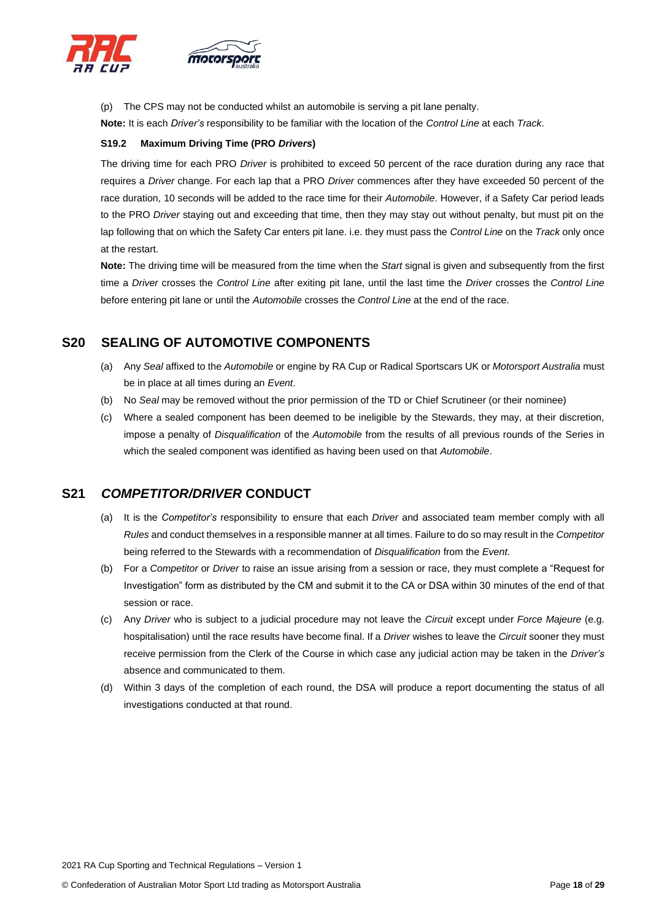

(p) The CPS may not be conducted whilst an automobile is serving a pit lane penalty.

**Note:** It is each *Driver's* responsibility to be familiar with the location of the *Control Line* at each *Track*.

### <span id="page-17-0"></span>**S19.2 Maximum Driving Time (PRO** *Drivers***)**

The driving time for each PRO *Driver* is prohibited to exceed 50 percent of the race duration during any race that requires a *Driver* change. For each lap that a PRO *Driver* commences after they have exceeded 50 percent of the race duration, 10 seconds will be added to the race time for their *Automobile*. However, if a Safety Car period leads to the PRO *Driver* staying out and exceeding that time, then they may stay out without penalty, but must pit on the lap following that on which the Safety Car enters pit lane. i.e. they must pass the *Control Line* on the *Track* only once at the restart.

**Note:** The driving time will be measured from the time when the *Start* signal is given and subsequently from the first time a *Driver* crosses the *Control Line* after exiting pit lane, until the last time the *Driver* crosses the *Control Line* before entering pit lane or until the *Automobile* crosses the *Control Line* at the end of the race.

# <span id="page-17-1"></span>**S20 SEALING OF AUTOMOTIVE COMPONENTS**

- (a) Any *Seal* affixed to the *Automobile* or engine by RA Cup or Radical Sportscars UK or *Motorsport Australia* must be in place at all times during an *Event*.
- (b) No *Seal* may be removed without the prior permission of the TD or Chief Scrutineer (or their nominee)
- (c) Where a sealed component has been deemed to be ineligible by the Stewards, they may, at their discretion, impose a penalty of *Disqualification* of the *Automobile* from the results of all previous rounds of the Series in which the sealed component was identified as having been used on that *Automobile*.

# <span id="page-17-2"></span>**S21** *COMPETITOR/DRIVER* **CONDUCT**

- (a) It is the *Competitor's* responsibility to ensure that each *Driver* and associated team member comply with all *Rules* and conduct themselves in a responsible manner at all times. Failure to do so may result in the *Competitor* being referred to the Stewards with a recommendation of *Disqualification* from the *Event*.
- (b) For a *Competitor* or *Driver* to raise an issue arising from a session or race, they must complete a "Request for Investigation" form as distributed by the CM and submit it to the CA or DSA within 30 minutes of the end of that session or race.
- (c) Any *Driver* who is subject to a judicial procedure may not leave the *Circuit* except under *Force Majeure* (e.g. hospitalisation) until the race results have become final. If a *Driver* wishes to leave the *Circuit* sooner they must receive permission from the Clerk of the Course in which case any judicial action may be taken in the *Driver's* absence and communicated to them.
- (d) Within 3 days of the completion of each round, the DSA will produce a report documenting the status of all investigations conducted at that round.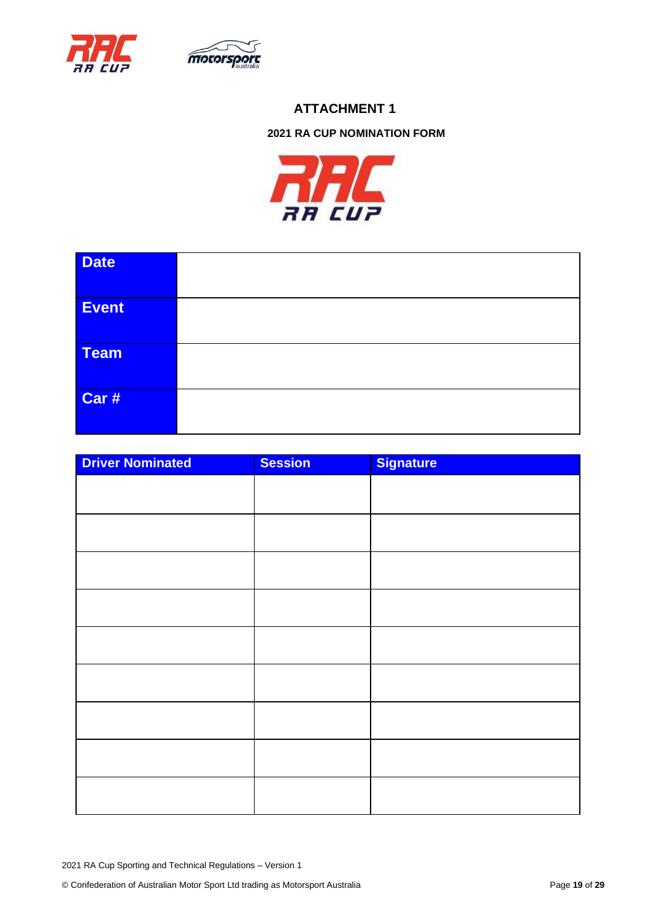<span id="page-18-1"></span><span id="page-18-0"></span>



# **2021 RA CUP NOMINATION FORM**



| <b>Date</b> |  |
|-------------|--|
| Event       |  |
| <b>Team</b> |  |
| Car #       |  |

| <b>Driver Nominated</b> | <b>Session</b> | <b>Signature</b> |
|-------------------------|----------------|------------------|
|                         |                |                  |
|                         |                |                  |
|                         |                |                  |
|                         |                |                  |
|                         |                |                  |
|                         |                |                  |
|                         |                |                  |
|                         |                |                  |
|                         |                |                  |
|                         |                |                  |
|                         |                |                  |
|                         |                |                  |
|                         |                |                  |
|                         |                |                  |
|                         |                |                  |
|                         |                |                  |

2021 RA Cup Sporting and Technical Regulations – Version 1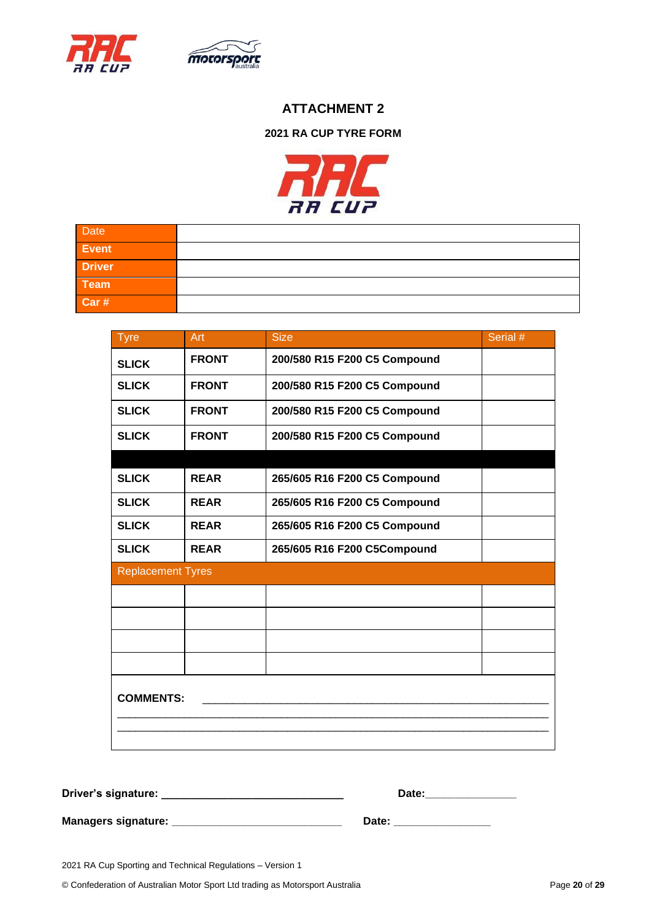<span id="page-19-0"></span>



### **2021 RA CUP TYRE FORM**



<span id="page-19-1"></span>

| Date<br>Event |  |
|---------------|--|
|               |  |
| <b>Driver</b> |  |
| Team          |  |
| Car#          |  |

| <b>Tyre</b>              | Art          | <b>Size</b>                  | Serial # |  |  |
|--------------------------|--------------|------------------------------|----------|--|--|
| <b>SLICK</b>             | <b>FRONT</b> | 200/580 R15 F200 C5 Compound |          |  |  |
| <b>SLICK</b>             | <b>FRONT</b> | 200/580 R15 F200 C5 Compound |          |  |  |
| <b>SLICK</b>             | <b>FRONT</b> | 200/580 R15 F200 C5 Compound |          |  |  |
| <b>SLICK</b>             | <b>FRONT</b> | 200/580 R15 F200 C5 Compound |          |  |  |
|                          |              |                              |          |  |  |
| <b>SLICK</b>             | <b>REAR</b>  | 265/605 R16 F200 C5 Compound |          |  |  |
| <b>SLICK</b>             | <b>REAR</b>  | 265/605 R16 F200 C5 Compound |          |  |  |
| <b>SLICK</b>             | <b>REAR</b>  | 265/605 R16 F200 C5 Compound |          |  |  |
| <b>SLICK</b>             | <b>REAR</b>  | 265/605 R16 F200 C5Compound  |          |  |  |
| <b>Replacement Tyres</b> |              |                              |          |  |  |
|                          |              |                              |          |  |  |
|                          |              |                              |          |  |  |
|                          |              |                              |          |  |  |
|                          |              |                              |          |  |  |
| <b>COMMENTS:</b>         |              |                              |          |  |  |
|                          |              |                              |          |  |  |
|                          |              |                              |          |  |  |
|                          |              |                              |          |  |  |

| Driver's signature:        | Date: |
|----------------------------|-------|
| <b>Managers signature:</b> | Date: |

2021 RA Cup Sporting and Technical Regulations – Version 1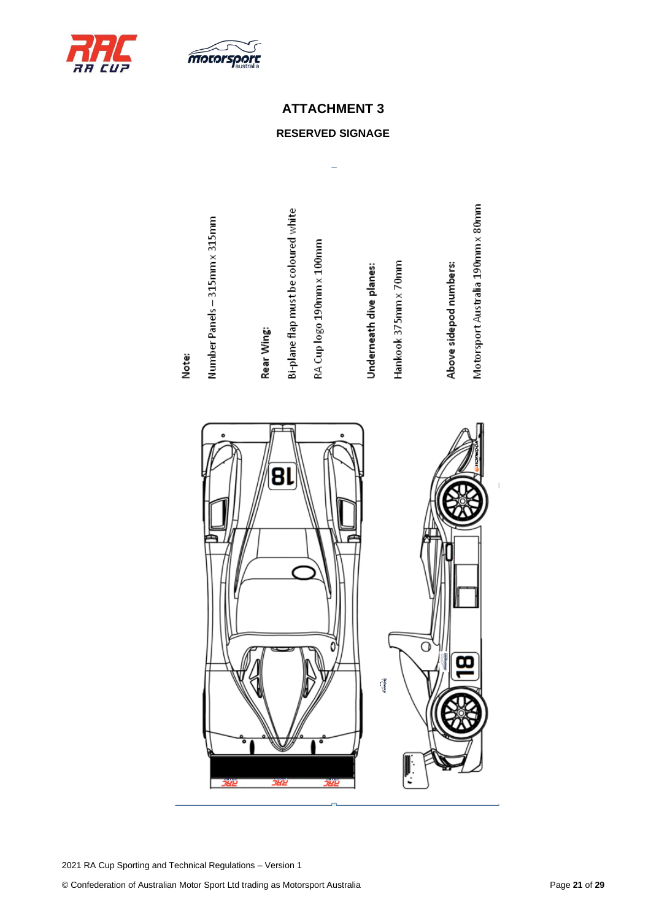<span id="page-20-1"></span><span id="page-20-0"></span>



# **RESERVED SIGNAGE**





Note:

2021 RA Cup Sporting and Technical Regulations – Version 1

© Confederation of Australian Motor Sport Ltd trading as Motorsport Australia Page **21** of **29**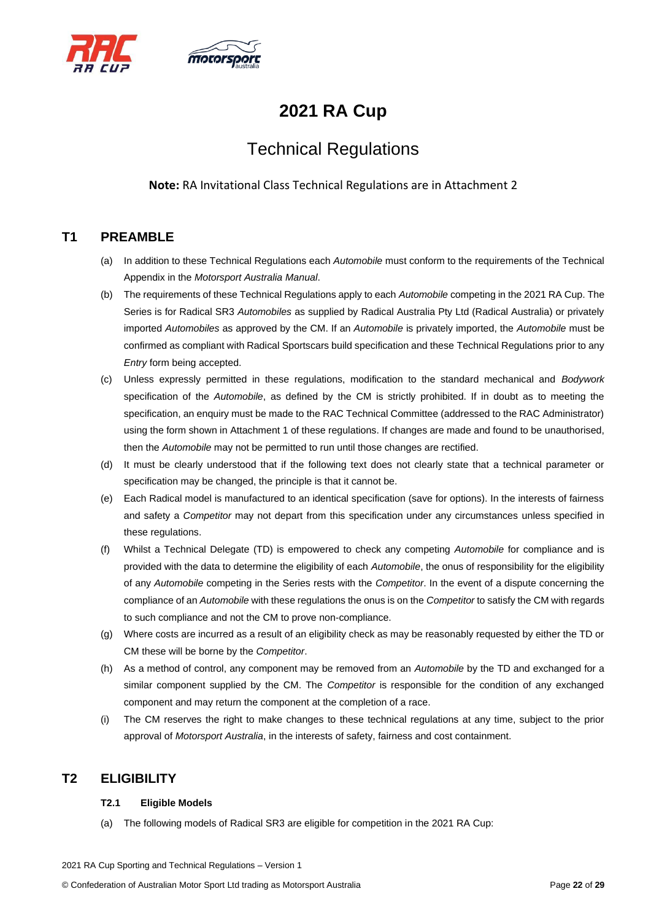



# **2021 RA Cup**

# Technical Regulations

**Note:** RA Invitational Class Technical Regulations are in Attachment 2

# <span id="page-21-0"></span>**T1 PREAMBLE**

- (a) In addition to these Technical Regulations each *Automobile* must conform to the requirements of the Technical Appendix in the *Motorsport Australia Manual*.
- (b) The requirements of these Technical Regulations apply to each *Automobile* competing in the 2021 RA Cup. The Series is for Radical SR3 *Automobiles* as supplied by Radical Australia Pty Ltd (Radical Australia) or privately imported *Automobiles* as approved by the CM. If an *Automobile* is privately imported, the *Automobile* must be confirmed as compliant with Radical Sportscars build specification and these Technical Regulations prior to any *Entry* form being accepted.
- (c) Unless expressly permitted in these regulations, modification to the standard mechanical and *Bodywork* specification of the *Automobile*, as defined by the CM is strictly prohibited. If in doubt as to meeting the specification, an enquiry must be made to the RAC Technical Committee (addressed to the RAC Administrator) using the form shown in Attachment 1 of these regulations. If changes are made and found to be unauthorised, then the *Automobile* may not be permitted to run until those changes are rectified.
- (d) It must be clearly understood that if the following text does not clearly state that a technical parameter or specification may be changed, the principle is that it cannot be.
- (e) Each Radical model is manufactured to an identical specification (save for options). In the interests of fairness and safety a *Competitor* may not depart from this specification under any circumstances unless specified in these regulations.
- (f) Whilst a Technical Delegate (TD) is empowered to check any competing *Automobile* for compliance and is provided with the data to determine the eligibility of each *Automobile*, the onus of responsibility for the eligibility of any *Automobile* competing in the Series rests with the *Competitor*. In the event of a dispute concerning the compliance of an *Automobile* with these regulations the onus is on the *Competitor* to satisfy the CM with regards to such compliance and not the CM to prove non-compliance.
- (g) Where costs are incurred as a result of an eligibility check as may be reasonably requested by either the TD or CM these will be borne by the *Competitor*.
- (h) As a method of control, any component may be removed from an *Automobile* by the TD and exchanged for a similar component supplied by the CM. The *Competitor* is responsible for the condition of any exchanged component and may return the component at the completion of a race.
- (i) The CM reserves the right to make changes to these technical regulations at any time, subject to the prior approval of *Motorsport Australia*, in the interests of safety, fairness and cost containment.

# <span id="page-21-2"></span><span id="page-21-1"></span>**T2 ELIGIBILITY**

### **T2.1 Eligible Models**

(a) The following models of Radical SR3 are eligible for competition in the 2021 RA Cup: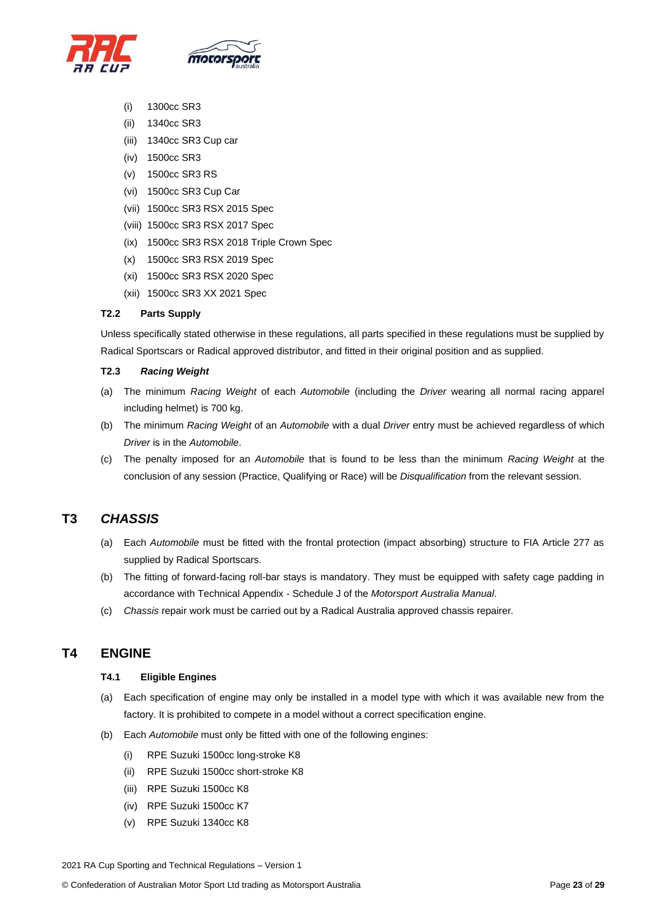

- (i) 1300cc SR3
- (ii) 1340cc SR3
- (iii) 1340cc SR3 Cup car
- (iv) 1500cc SR3
- (v) 1500cc SR3 RS
- (vi) 1500cc SR3 Cup Car
- (vii) 1500cc SR3 RSX 2015 Spec
- (viii) 1500cc SR3 RSX 2017 Spec
- (ix) 1500cc SR3 RSX 2018 Triple Crown Spec
- (x) 1500cc SR3 RSX 2019 Spec
- (xi) 1500cc SR3 RSX 2020 Spec
- (xii) 1500cc SR3 XX 2021 Spec

### <span id="page-22-0"></span>**T2.2 Parts Supply**

Unless specifically stated otherwise in these regulations, all parts specified in these regulations must be supplied by Radical Sportscars or Radical approved distributor, and fitted in their original position and as supplied.

### <span id="page-22-1"></span>**T2.3** *Racing Weight*

- (a) The minimum *Racing Weight* of each *Automobile* (including the *Driver* wearing all normal racing apparel including helmet) is 700 kg.
- (b) The minimum *Racing Weight* of an *Automobile* with a dual *Driver* entry must be achieved regardless of which *Driver* is in the *Automobile*.
- (c) The penalty imposed for an *Automobile* that is found to be less than the minimum *Racing Weight* at the conclusion of any session (Practice, Qualifying or Race) will be *Disqualification* from the relevant session.

### <span id="page-22-2"></span>**T3** *CHASSIS*

- (a) Each *Automobile* must be fitted with the frontal protection (impact absorbing) structure to FIA Article 277 as supplied by Radical Sportscars.
- (b) The fitting of forward-facing roll-bar stays is mandatory. They must be equipped with safety cage padding in accordance with Technical Appendix - Schedule J of the *Motorsport Australia Manual*.
- (c) *Chassis* repair work must be carried out by a Radical Australia approved chassis repairer.

# <span id="page-22-4"></span><span id="page-22-3"></span>**T4 ENGINE**

### **T4.1 Eligible Engines**

- (a) Each specification of engine may only be installed in a model type with which it was available new from the factory. It is prohibited to compete in a model without a correct specification engine.
- (b) Each *Automobile* must only be fitted with one of the following engines:
	- (i) RPE Suzuki 1500cc long-stroke K8
	- (ii) RPE Suzuki 1500cc short-stroke K8
	- (iii) RPE Suzuki 1500cc K8
	- (iv) RPE Suzuki 1500cc K7
	- (v) RPE Suzuki 1340cc K8

2021 RA Cup Sporting and Technical Regulations – Version 1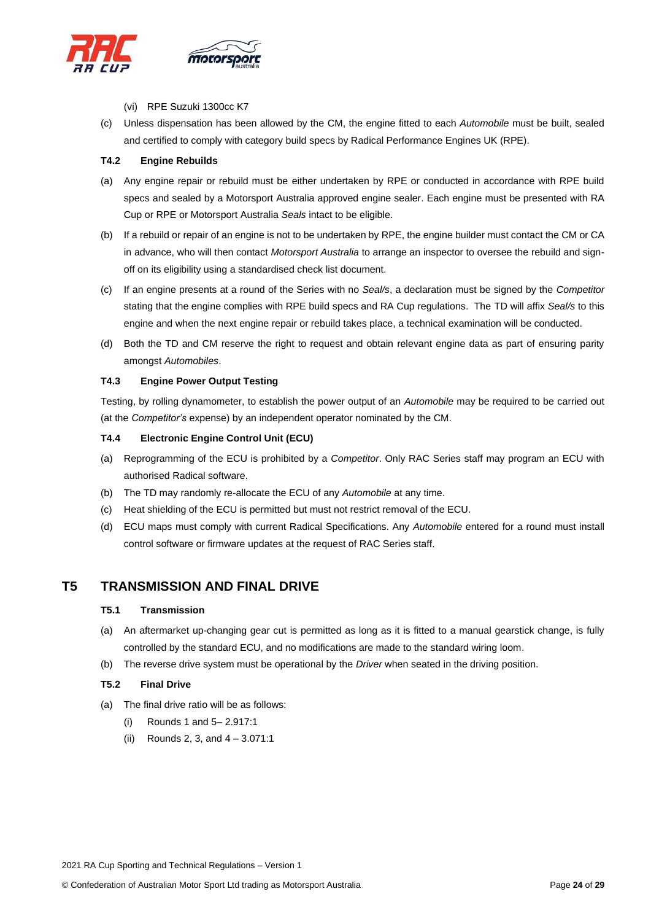

- (vi) RPE Suzuki 1300cc K7
- (c) Unless dispensation has been allowed by the CM, the engine fitted to each *Automobile* must be built, sealed and certified to comply with category build specs by Radical Performance Engines UK (RPE).

### <span id="page-23-0"></span>**T4.2 Engine Rebuilds**

- (a) Any engine repair or rebuild must be either undertaken by RPE or conducted in accordance with RPE build specs and sealed by a Motorsport Australia approved engine sealer. Each engine must be presented with RA Cup or RPE or Motorsport Australia *Seals* intact to be eligible.
- (b) If a rebuild or repair of an engine is not to be undertaken by RPE, the engine builder must contact the CM or CA in advance, who will then contact *Motorsport Australia* to arrange an inspector to oversee the rebuild and signoff on its eligibility using a standardised check list document.
- (c) If an engine presents at a round of the Series with no *Seal/s*, a declaration must be signed by the *Competitor* stating that the engine complies with RPE build specs and RA Cup regulations. The TD will affix *Seal/s* to this engine and when the next engine repair or rebuild takes place, a technical examination will be conducted.
- (d) Both the TD and CM reserve the right to request and obtain relevant engine data as part of ensuring parity amongst *Automobiles*.

### <span id="page-23-1"></span>**T4.3 Engine Power Output Testing**

Testing, by rolling dynamometer, to establish the power output of an *Automobile* may be required to be carried out (at the *Competitor's* expense) by an independent operator nominated by the CM.

### <span id="page-23-2"></span>**T4.4 Electronic Engine Control Unit (ECU)**

- (a) Reprogramming of the ECU is prohibited by a *Competitor*. Only RAC Series staff may program an ECU with authorised Radical software.
- (b) The TD may randomly re-allocate the ECU of any *Automobile* at any time.
- (c) Heat shielding of the ECU is permitted but must not restrict removal of the ECU.
- (d) ECU maps must comply with current Radical Specifications. Any *Automobile* entered for a round must install control software or firmware updates at the request of RAC Series staff.

### <span id="page-23-4"></span><span id="page-23-3"></span>**T5 TRANSMISSION AND FINAL DRIVE**

### **T5.1 Transmission**

- (a) An aftermarket up-changing gear cut is permitted as long as it is fitted to a manual gearstick change, is fully controlled by the standard ECU, and no modifications are made to the standard wiring loom.
- (b) The reverse drive system must be operational by the *Driver* when seated in the driving position.

### <span id="page-23-5"></span>**T5.2 Final Drive**

- (a) The final drive ratio will be as follows:
	- (i) Rounds 1 and 5– 2.917:1
	- (ii) Rounds 2, 3, and 4 3.071:1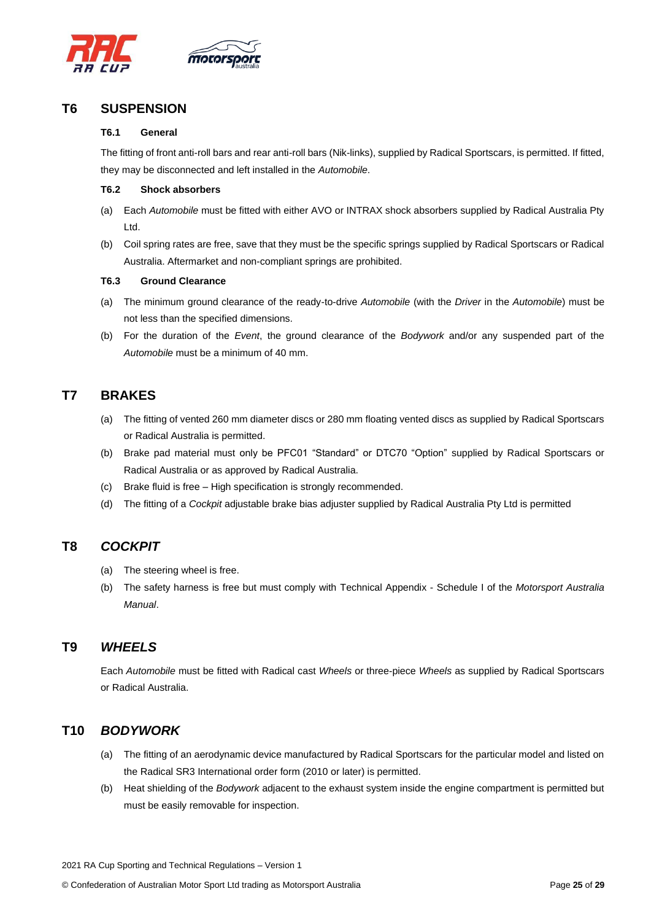

# <span id="page-24-1"></span><span id="page-24-0"></span>**T6 SUSPENSION**

### **T6.1 General**

The fitting of front anti-roll bars and rear anti-roll bars (Nik-links), supplied by Radical Sportscars, is permitted. If fitted, they may be disconnected and left installed in the *Automobile*.

### <span id="page-24-2"></span>**T6.2 Shock absorbers**

- (a) Each *Automobile* must be fitted with either AVO or INTRAX shock absorbers supplied by Radical Australia Pty Ltd.
- (b) Coil spring rates are free, save that they must be the specific springs supplied by Radical Sportscars or Radical Australia. Aftermarket and non-compliant springs are prohibited.

### <span id="page-24-3"></span>**T6.3 Ground Clearance**

- (a) The minimum ground clearance of the ready-to-drive *Automobile* (with the *Driver* in the *Automobile*) must be not less than the specified dimensions.
- (b) For the duration of the *Event*, the ground clearance of the *Bodywork* and/or any suspended part of the *Automobile* must be a minimum of 40 mm.

# <span id="page-24-4"></span>**T7 BRAKES**

- (a) The fitting of vented 260 mm diameter discs or 280 mm floating vented discs as supplied by Radical Sportscars or Radical Australia is permitted.
- (b) Brake pad material must only be PFC01 "Standard" or DTC70 "Option" supplied by Radical Sportscars or Radical Australia or as approved by Radical Australia.
- (c) Brake fluid is free High specification is strongly recommended.
- (d) The fitting of a *Cockpit* adjustable brake bias adjuster supplied by Radical Australia Pty Ltd is permitted

# <span id="page-24-5"></span>**T8** *COCKPIT*

- (a) The steering wheel is free.
- (b) The safety harness is free but must comply with Technical Appendix Schedule I of the *Motorsport Australia Manual*.

# <span id="page-24-6"></span>**T9** *WHEELS*

Each *Automobile* must be fitted with Radical cast *Wheels* or three-piece *Wheels* as supplied by Radical Sportscars or Radical Australia.

# <span id="page-24-7"></span>**T10** *BODYWORK*

- (a) The fitting of an aerodynamic device manufactured by Radical Sportscars for the particular model and listed on the Radical SR3 International order form (2010 or later) is permitted.
- (b) Heat shielding of the *Bodywork* adjacent to the exhaust system inside the engine compartment is permitted but must be easily removable for inspection.

2021 RA Cup Sporting and Technical Regulations – Version 1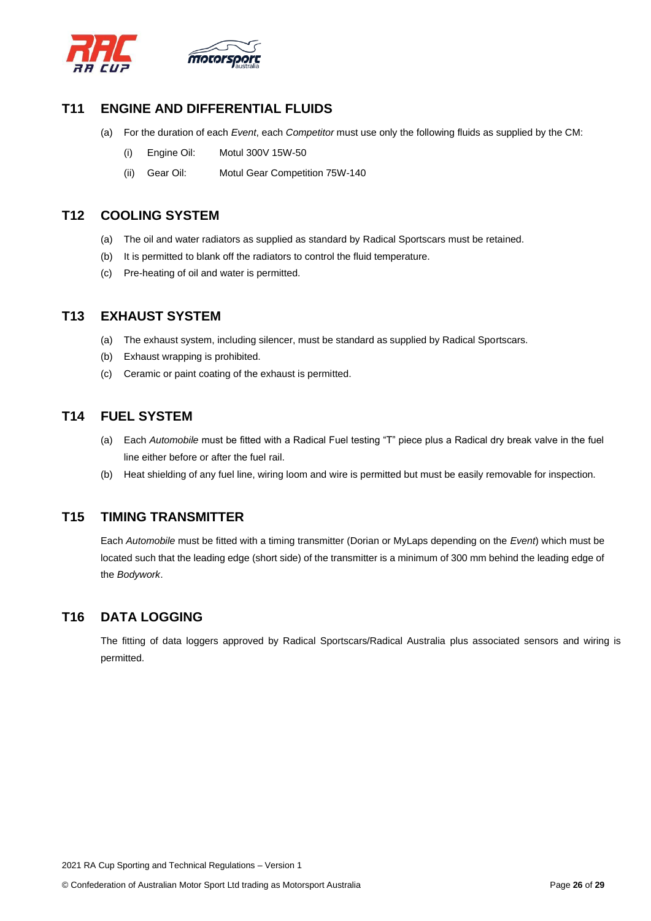

# <span id="page-25-0"></span>**T11 ENGINE AND DIFFERENTIAL FLUIDS**

- (a) For the duration of each *Event*, each *Competitor* must use only the following fluids as supplied by the CM:
	- (i) Engine Oil: Motul 300V 15W-50
	- (ii) Gear Oil: Motul Gear Competition 75W-140

# <span id="page-25-1"></span>**T12 COOLING SYSTEM**

- (a) The oil and water radiators as supplied as standard by Radical Sportscars must be retained.
- (b) It is permitted to blank off the radiators to control the fluid temperature.
- (c) Pre-heating of oil and water is permitted.

# <span id="page-25-2"></span>**T13 EXHAUST SYSTEM**

- (a) The exhaust system, including silencer, must be standard as supplied by Radical Sportscars.
- (b) Exhaust wrapping is prohibited.
- (c) Ceramic or paint coating of the exhaust is permitted.

# <span id="page-25-3"></span>**T14 FUEL SYSTEM**

- (a) Each *Automobile* must be fitted with a Radical Fuel testing "T" piece plus a Radical dry break valve in the fuel line either before or after the fuel rail.
- (b) Heat shielding of any fuel line, wiring loom and wire is permitted but must be easily removable for inspection.

# <span id="page-25-4"></span>**T15 TIMING TRANSMITTER**

Each *Automobile* must be fitted with a timing transmitter (Dorian or MyLaps depending on the *Event*) which must be located such that the leading edge (short side) of the transmitter is a minimum of 300 mm behind the leading edge of the *Bodywork*.

# <span id="page-25-5"></span>**T16 DATA LOGGING**

The fitting of data loggers approved by Radical Sportscars/Radical Australia plus associated sensors and wiring is permitted.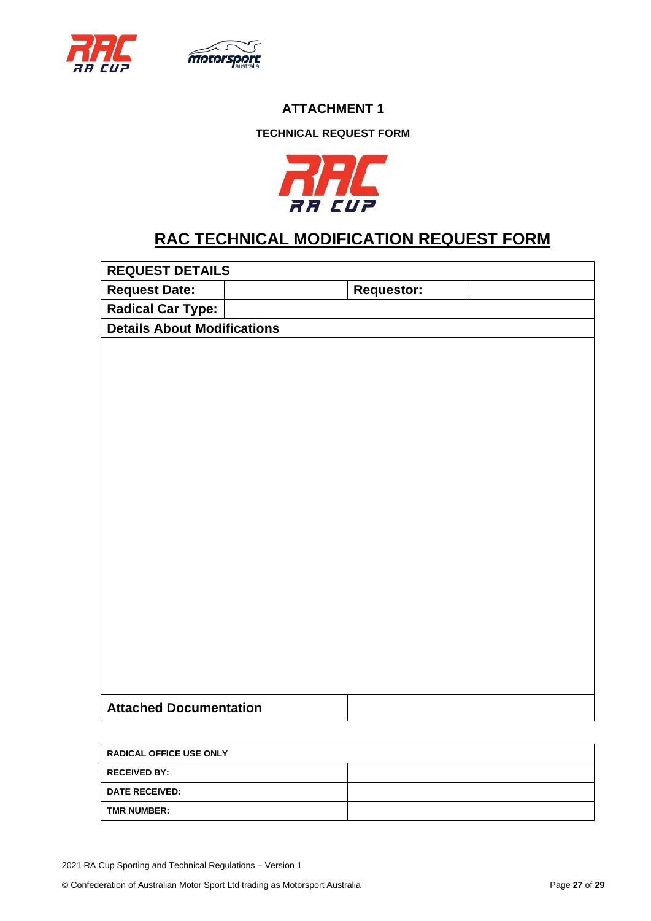<span id="page-26-1"></span><span id="page-26-0"></span>



# **TECHNICAL REQUEST FORM**



# **RAC TECHNICAL MODIFICATION REQUEST FORM**

| <b>REQUEST DETAILS</b>             |  |                   |  |  |
|------------------------------------|--|-------------------|--|--|
| <b>Request Date:</b>               |  | <b>Requestor:</b> |  |  |
| <b>Radical Car Type:</b>           |  |                   |  |  |
| <b>Details About Modifications</b> |  |                   |  |  |
|                                    |  |                   |  |  |
|                                    |  |                   |  |  |
|                                    |  |                   |  |  |
|                                    |  |                   |  |  |
|                                    |  |                   |  |  |
|                                    |  |                   |  |  |
|                                    |  |                   |  |  |
|                                    |  |                   |  |  |
|                                    |  |                   |  |  |
|                                    |  |                   |  |  |
|                                    |  |                   |  |  |
|                                    |  |                   |  |  |
|                                    |  |                   |  |  |
|                                    |  |                   |  |  |
|                                    |  |                   |  |  |
|                                    |  |                   |  |  |
|                                    |  |                   |  |  |
|                                    |  |                   |  |  |
|                                    |  |                   |  |  |
| <b>Attached Documentation</b>      |  |                   |  |  |

| <b>RADICAL OFFICE USE ONLY</b> |  |  |  |  |
|--------------------------------|--|--|--|--|
| <b>RECEIVED BY:</b>            |  |  |  |  |
| <b>DATE RECEIVED:</b>          |  |  |  |  |
| <b>TMR NUMBER:</b>             |  |  |  |  |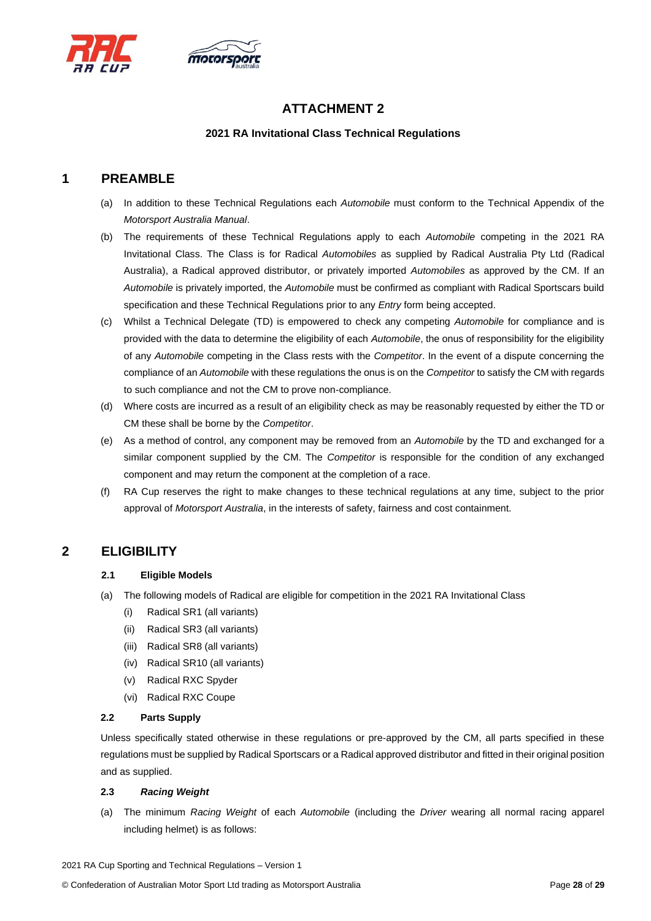



### **2021 RA Invitational Class Technical Regulations**

# <span id="page-27-1"></span><span id="page-27-0"></span>**1 PREAMBLE**

- (a) In addition to these Technical Regulations each *Automobile* must conform to the Technical Appendix of the *Motorsport Australia Manual*.
- (b) The requirements of these Technical Regulations apply to each *Automobile* competing in the 2021 RA Invitational Class. The Class is for Radical *Automobiles* as supplied by Radical Australia Pty Ltd (Radical Australia), a Radical approved distributor, or privately imported *Automobiles* as approved by the CM. If an *Automobile* is privately imported, the *Automobile* must be confirmed as compliant with Radical Sportscars build specification and these Technical Regulations prior to any *Entry* form being accepted.
- (c) Whilst a Technical Delegate (TD) is empowered to check any competing *Automobile* for compliance and is provided with the data to determine the eligibility of each *Automobile*, the onus of responsibility for the eligibility of any *Automobile* competing in the Class rests with the *Competitor*. In the event of a dispute concerning the compliance of an *Automobile* with these regulations the onus is on the *Competitor* to satisfy the CM with regards to such compliance and not the CM to prove non-compliance.
- (d) Where costs are incurred as a result of an eligibility check as may be reasonably requested by either the TD or CM these shall be borne by the *Competitor*.
- (e) As a method of control, any component may be removed from an *Automobile* by the TD and exchanged for a similar component supplied by the CM. The *Competitor* is responsible for the condition of any exchanged component and may return the component at the completion of a race.
- (f) RA Cup reserves the right to make changes to these technical regulations at any time, subject to the prior approval of *Motorsport Australia*, in the interests of safety, fairness and cost containment.

# **2 ELIGIBILITY**

### **2.1 Eligible Models**

- (a) The following models of Radical are eligible for competition in the 2021 RA Invitational Class
	- (i) Radical SR1 (all variants)
	- (ii) Radical SR3 (all variants)
	- (iii) Radical SR8 (all variants)
	- (iv) Radical SR10 (all variants)
	- (v) Radical RXC Spyder
	- (vi) Radical RXC Coupe

### **2.2 Parts Supply**

Unless specifically stated otherwise in these regulations or pre-approved by the CM, all parts specified in these regulations must be supplied by Radical Sportscars or a Radical approved distributor and fitted in their original position and as supplied.

### **2.3** *Racing Weight*

(a) The minimum *Racing Weight* of each *Automobile* (including the *Driver* wearing all normal racing apparel including helmet) is as follows: